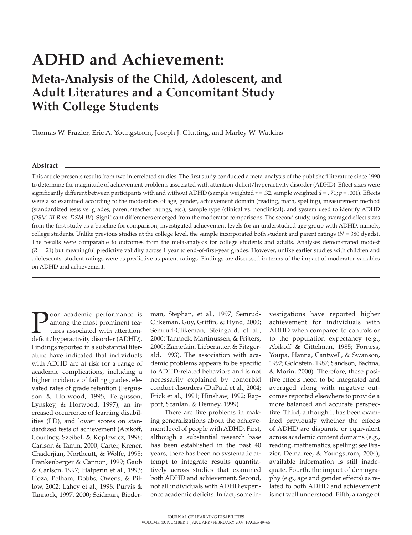# **ADHD and Achievement: Meta-Analysis of the Child, Adolescent, and Adult Literatures and a Concomitant Study With College Students**

Thomas W. Frazier, Eric A. Youngstrom, Joseph J. Glutting, and Marley W. Watkins

#### **Abstract**

This article presents results from two interrelated studies. The first study conducted a meta-analysis of the published literature since 1990 to determine the magnitude of achievement problems associated with attention-deficit/hyperactivity disorder (ADHD). Effect sizes were significantly different between participants with and without ADHD (sample weighted *r* = .32, sample weighted *d* = . 71; *p* = .001). Effects were also examined according to the moderators of age, gender, achievement domain (reading, math, spelling), measurement method (standardized tests vs. grades, parent/teacher ratings, etc.), sample type (clinical vs. nonclinical), and system used to identify ADHD (*DSM-III-R* vs. *DSM-IV*). Significant differences emerged from the moderator comparisons. The second study, using averaged effect sizes from the first study as a baseline for comparison, investigated achievement levels for an understudied age group with ADHD, namely, college students. Unlike previous studies at the college level, the sample incorporated both student and parent ratings (*N* = 380 dyads). The results were comparable to outcomes from the meta-analysis for college students and adults. Analyses demonstrated modest (*R* = .21) but meaningful predictive validity across 1 year to end-of-first-year grades. However, unlike earlier studies with children and adolescents, student ratings were as predictive as parent ratings. Findings are discussed in terms of the impact of moderator variables on ADHD and achievement.

**P**oor academic performance is<br>tures associated with attention-<br>deficit/hyperactivity disorder (ADHD). among the most prominent features associated with attention-Findings reported in a substantial literature have indicated that individuals with ADHD are at risk for a range of academic complications, including a higher incidence of failing grades, elevated rates of grade retention (Fergusson & Horwood, 1995; Fergusson, Lynskey, & Horwood, 1997), an increased occurrence of learning disabilities (LD), and lower scores on standardized tests of achievement (Abikoff, Courtney, Szeibel, & Koplewicz, 1996; Carlson & Tamm, 2000; Carter, Krener, Chaderjian, Northcutt, & Wolfe, 1995; Frankenberger & Cannon, 1999; Gaub & Carlson, 1997; Halperin et al., 1993; Hoza, Pelham, Dobbs, Owens, & Pillow, 2002: Lahey et al., 1998; Purvis & Tannock, 1997, 2000; Seidman, Bieder-

man, Stephan, et al., 1997; Semrud-Clikeman, Guy, Griffin, & Hynd, 2000; Semrud-Clikeman, Steingard, et al., 2000; Tannock, Martinussen, & Frijters, 2000; Zametkin, Liebenauer, & Fitzgerald, 1993). The association with academic problems appears to be specific to ADHD-related behaviors and is not necessarily explained by comorbid conduct disorders (DuPaul et al., 2004; Frick et al., 1991; Hinshaw, 1992; Rapport, Scanlan, & Denney, 1999).

There are five problems in making generalizations about the achievement level of people with ADHD. First, although a substantial research base has been established in the past 40 years, there has been no systematic attempt to integrate results quantitatively across studies that examined both ADHD and achievement. Second, not all individuals with ADHD experience academic deficits. In fact, some investigations have reported higher achievement for individuals with ADHD when compared to controls or to the population expectancy (e.g., Abikoff & Gittelman, 1985; Forness, Youpa, Hanna, Cantwell, & Swanson, 1992; Goldstein, 1987; Sandson, Bachna, & Morin, 2000). Therefore, these positive effects need to be integrated and averaged along with negative outcomes reported elsewhere to provide a more balanced and accurate perspective. Third, although it has been examined previously whether the effects of ADHD are disparate or equivalent across academic content domains (e.g., reading, mathematics, spelling; see Frazier, Demarree, & Youngstrom, 2004), available information is still inadequate. Fourth, the impact of demography (e.g., age and gender effects) as related to both ADHD and achievement is not well understood. Fifth, a range of

JOURNAL OF LEARNING DISABILITIES VOLUME 40, NUMBER 1, JANUARY/FEBRUARY 2007, PAGES 49–65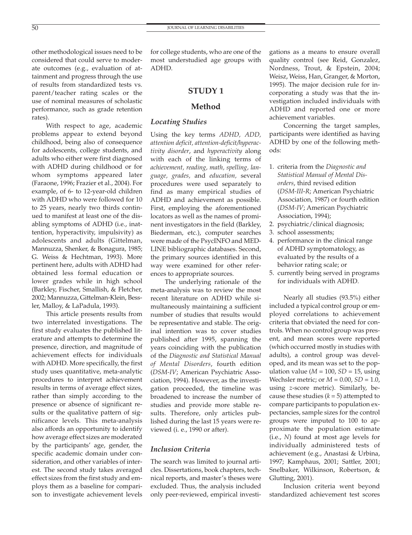other methodological issues need to be considered that could serve to moderate outcomes (e.g., evaluation of attainment and progress through the use of results from standardized tests vs. parent/teacher rating scales or the use of nominal measures of scholastic performance, such as grade retention rates).

With respect to age, academic problems appear to extend beyond childhood, being also of consequence for adolescents, college students, and adults who either were first diagnosed with ADHD during childhood or for whom symptoms appeared later (Faraone, 1996; Frazier et al., 2004). For example, of 6- to 12-year-old children with ADHD who were followed for 10 to 25 years, nearly two thirds continued to manifest at least one of the disabling symptoms of ADHD (i.e., inattention, hyperactivity, impulsivity) as adolescents and adults (Gittelman, Mannuzza, Shenker, & Bonagura, 1985; G. Weiss & Hechtman, 1993). More pertinent here, adults with ADHD had obtained less formal education or lower grades while in high school (Barkley, Fischer, Smallish, & Fletcher, 2002; Mannuzza, Gittelman-Klein, Bessler, Malloy, & LaPadula, 1993).

This article presents results from two interrelated investigations. The first study evaluates the published literature and attempts to determine the presence, direction, and magnitude of achievement effects for individuals with ADHD. More specifically, the first study uses quantitative, meta-analytic procedures to interpret achievement results in terms of average effect sizes, rather than simply according to the presence or absence of significant results or the qualitative pattern of significance levels. This meta-analysis also affords an opportunity to identify how average effect sizes are moderated by the participants' age, gender, the specific academic domain under consideration, and other variables of interest. The second study takes averaged effect sizes from the first study and employs them as a baseline for comparison to investigate achievement levels for college students, who are one of the most understudied age groups with ADHD.

# **STUDY 1**

# **Method**

## *Locating Studies*

Using the key terms *ADHD, ADD, attention deficit, attention-deficit/hyperactivity disorder*, and *hyperactivity* along with each of the linking terms of *achievement, reading, math, spelling, language, grades,* and *education,* several procedures were used separately to find as many empirical studies of ADHD and achievement as possible. First, employing the aforementioned locators as well as the names of prominent investigators in the field (Barkley, Biederman, etc.), computer searches were made of the PsycINFO and MED-LINE bibliographic databases. Second, the primary sources identified in this way were examined for other references to appropriate sources.

The underlying rationale of the meta-analysis was to review the most recent literature on ADHD while simultaneously maintaining a sufficient number of studies that results would be representative and stable. The original intention was to cover studies published after 1995, spanning the years coinciding with the publication of the *Diagnostic and Statistical Manual of Mental Disorders*, fourth edition (*DSM-IV*; American Psychiatric Association, 1994). However, as the investigation proceeded, the timeline was broadened to increase the number of studies and provide more stable results. Therefore, only articles published during the last 15 years were reviewed (i. e., 1990 or after).

#### *Inclusion Criteria*

The search was limited to journal articles. Dissertations, book chapters, technical reports, and master's theses were excluded. Thus, the analysis included only peer-reviewed, empirical investigations as a means to ensure overall quality control (see Reid, Gonzalez, Nordness, Trout, & Epstein, 2004; Weisz, Weiss, Han, Granger, & Morton, 1995). The major decision rule for incorporating a study was that the investigation included individuals with ADHD and reported one or more achievement variables.

Concerning the target samples, participants were identified as having ADHD by one of the following methods:

- 1. criteria from the *Diagnostic and Statistical Manual of Mental Disorders*, third revised edition (*DSM-III*-*R*; American Psychiatric Association, 1987) or fourth edition (*DSM-IV*; American Psychiatric Association, 1994);
- 2. psychiatric/clinical diagnosis;
- 3. school assessments;
- 4. performance in the clinical range of ADHD symptomatology, as evaluated by the results of a behavior rating scale; or
- 5. currently being served in programs for individuals with ADHD.

Nearly all studies (93.5%) either included a typical control group or employed correlations to achievement criteria that obviated the need for controls. When no control group was present, and mean scores were reported (which occurred mostly in studies with adults), a control group was developed, and its mean was set to the population value ( $M = 100$ ,  $SD = 15$ , using Wechsler metric; or *M* = 0.00, *SD* = 1.0, using *z*-score metric). Similarly, because these studies  $(k = 5)$  attempted to compare participants to population expectancies, sample sizes for the control groups were imputed to 100 to approximate the population estimate (i.e., *N*) found at most age levels for individually administered tests of achievement (e.g., Anastasi & Urbina, 1997; Kamphaus, 2001; Sattler, 2001; Snelbaker, Wilkinson, Robertson, & Glutting, 2001).

Inclusion criteria went beyond standardized achievement test scores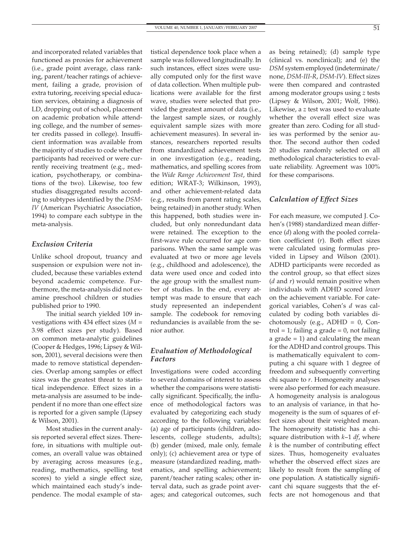and incorporated related variables that functioned as proxies for achievement (i.e., grade point average, class ranking, parent/teacher ratings of achievement, failing a grade, provision of extra tutoring, receiving special education services, obtaining a diagnosis of LD, dropping out of school, placement on academic probation while attending college, and the number of semester credits passed in college). Insufficient information was available from the majority of studies to code whether participants had received or were currently receiving treatment (e.g., medication, psychotherapy, or combinations of the two). Likewise, too few studies disaggregated results according to subtypes identified by the *DSM-IV* (American Psychiatric Association, 1994) to compare each subtype in the meta-analysis.

## *Exclusion Criteria*

Unlike school dropout, truancy and suspension or expulsion were not included, because these variables extend beyond academic competence. Furthermore, the meta-analysis did not examine preschool children or studies published prior to 1990.

The initial search yielded 109 investigations with 434 effect sizes (*M* = 3.98 effect sizes per study). Based on common meta-analytic guidelines (Cooper & Hedges, 1996; Lipsey & Wilson, 2001), several decisions were then made to remove statistical dependencies. Overlap among samples or effect sizes was the greatest threat to statistical independence. Effect sizes in a meta-analysis are assumed to be independent if no more than one effect size is reported for a given sample (Lipsey & Wilson, 2001).

Most studies in the current analysis reported several effect sizes. Therefore, in situations with multiple outcomes, an overall value was obtained by averaging across measures (e.g., reading, mathematics, spelling test scores) to yield a single effect size, which maintained each study's independence. The modal example of sta-

tistical dependence took place when a sample was followed longitudinally. In such instances, effect sizes were usually computed only for the first wave of data collection. When multiple publications were available for the first wave, studies were selected that provided the greatest amount of data (i.e., the largest sample sizes, or roughly equivalent sample sizes with more achievement measures). In several instances, researchers reported results from standardized achievement tests in one investigation (e.g., reading, mathematics, and spelling scores from the *Wide Range Achievement Test*, third edition; WRAT-3; Wilkinson, 1993), and other achievement-related data (e.g., results from parent rating scales, being retained) in another study. When this happened, both studies were included, but only nonredundant data were retained. The exception to the first-wave rule occurred for age comparisons. When the same sample was evaluated at two or more age levels (e.g., childhood and adolescence), the data were used once and coded into the age group with the smallest number of studies. In the end, every attempt was made to ensure that each study represented an independent sample. The codebook for removing redundancies is available from the senior author.

# *Evaluation of Methodological Factors*

Investigations were coded according to several domains of interest to assess whether the comparisons were statistically significant. Specifically, the influence of methodological factors was evaluated by categorizing each study according to the following variables: (a) age of participants (children, adolescents, college students, adults); (b) gender (mixed, male only, female only); (c) achievement area or type of measure (standardized reading, mathematics, and spelling achievement; parent/teacher rating scales; other interval data, such as grade point averages; and categorical outcomes, such

as being retained); (d) sample type (clinical vs. nonclinical); and (e) the *DSM* system employed (indeterminate/ none, *DSM-III*-*R*, *DSM-IV*). Effect sizes were then compared and contrasted among moderator groups using *z* tests (Lipsey & Wilson, 2001; Wolf, 1986). Likewise, a *z* test was used to evaluate whether the overall effect size was greater than zero. Coding for all studies was performed by the senior author. The second author then coded 20 studies randomly selected on all methodological characteristics to evaluate reliability. Agreement was 100% for these comparisons.

## *Calculation of Effect Sizes*

For each measure, we computed J. Cohen's (1988) standardized mean difference (*d*) along with the pooled correlation coefficient (*r*). Both effect sizes were calculated using formulas provided in Lipsey and Wilson (2001). ADHD participants were recorded as the control group, so that effect sizes (*d* and *r*) would remain positive when individuals with ADHD scored *lower* on the achievement variable. For categorical variables, Cohen's *d* was calculated by coding both variables dichotomously (e.g., ADHD =  $0$ , Control = 1; failing a grade =  $0$ , not failing a grade  $= 1$ ) and calculating the mean for the ADHD and control groups. This is mathematically equivalent to computing a chi square with 1 degree of freedom and subsequently converting chi square to *r*. Homogeneity analyses were also performed for each measure. A homogeneity analysis is analogous to an analysis of variance, in that homogeneity is the sum of squares of effect sizes about their weighted mean. The homogeneity statistic has a chisquare distribution with *k*−1 *df*, where *k* is the number of contributing effect sizes. Thus, homogeneity evaluates whether the observed effect sizes are likely to result from the sampling of one population. A statistically significant chi square suggests that the effects are not homogenous and that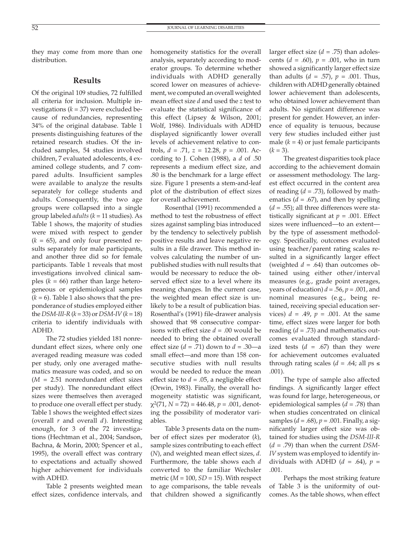they may come from more than one distribution.

## **Results**

Of the original 109 studies, 72 fulfilled all criteria for inclusion. Multiple investigations  $(k = 37)$  were excluded because of redundancies, representing 34% of the original database. Table 1 presents distinguishing features of the retained research studies. Of the included samples, 54 studies involved children, 7 evaluated adolescents, 4 examined college students, and 7 compared adults. Insufficient samples were available to analyze the results separately for college students and adults. Consequently, the two age groups were collapsed into a single group labeled *adults* (*k* = 11 studies). As Table 1 shows, the majority of studies were mixed with respect to gender  $(k = 65)$ , and only four presented results separately for male participants, and another three did so for female participants. Table 1 reveals that most investigations involved clinical samples  $(k = 66)$  rather than large heterogeneous or epidemiological samples  $(k = 6)$ . Table 1 also shows that the preponderance of studies employed either the *DSM-III-R*  $(k = 33)$  or *DSM-IV*  $(k = 18)$ criteria to identify individuals with ADHD.

The 72 studies yielded 181 nonredundant effect sizes, where only one averaged reading measure was coded per study, only one averaged mathematics measure was coded, and so on (*M* = 2.51 nonredundant effect sizes per study). The nonredundant effect sizes were themselves then averaged to produce one overall effect per study. Table 1 shows the weighted effect sizes (overall *r* and overall *d*). Interesting enough, for 3 of the 72 investigations (Hechtman et al., 2004; Sandson, Bachna, & Morin, 2000; Spencer et al., 1995), the overall effect was contrary to expectations and actually showed higher achievement for individuals with ADHD.

Table 2 presents weighted mean effect sizes, confidence intervals, and homogeneity statistics for the overall analysis, separately according to moderator groups. To determine whether individuals with ADHD generally scored lower on measures of achievement, we computed an overall weighted mean effect size *d* and used the *z* test to evaluate the statistical significance of this effect (Lipsey & Wilson, 2001; Wolf, 1986). Individuals with ADHD displayed significantly lower overall levels of achievement relative to controls, *d* = .71, *z* = 12.28, *p* = .001. According to J. Cohen (1988), a *d* of .50 represents a medium effect size, and .80 is the benchmark for a large effect size. Figure 1 presents a stem-and-leaf plot of the distribution of effect sizes for overall achievement.

Rosenthal (1991) recommended a method to test the robustness of effect sizes against sampling bias introduced by the tendency to selectively publish positive results and leave negative results in a file drawer. This method involves calculating the number of unpublished studies with null results that would be necessary to reduce the observed effect size to a level where its meaning changes. In the current case, the weighted mean effect size is unlikely to be a result of publication bias. Rosenthal's (1991) file-drawer analysis showed that 98 consecutive comparisons with effect size *d* = .00 would be needed to bring the obtained overall effect size (*d* = .71) down to *d* = .30—a small effect—and more than 158 consecutive studies with null results would be needed to reduce the mean effect size to  $d = .05$ , a negligible effect (Orwin, 1983). Finally, the overall homogeneity statistic was significant,  $\chi^2$ (71, *N* = 72) = 446.48, *p* = .001, denoting the possibility of moderator variables.

Table 3 presents data on the number of effect sizes per moderator (*k*), sample sizes contributing to each effect (*N*), and weighted mean effect sizes, *d*. Furthermore, the table shows each *d* converted to the familiar Wechsler metric  $(M = 100, SD = 15)$ . With respect to age comparisons, the table reveals that children showed a significantly

larger effect size  $(d = .75)$  than adolescents  $(d = .60)$ ,  $p = .001$ , who in turn showed a significantly larger effect size than adults ( $d = .57$ ),  $p = .001$ . Thus, children with ADHD generally obtained lower achievement than adolescents, who obtained lower achievement than adults. No significant difference was present for gender. However, an inference of equality is tenuous, because very few studies included either just male  $(k = 4)$  or just female participants  $(k = 3)$ .

The greatest disparities took place according to the achievement domain or assessment methodology. The largest effect occurred in the content area of reading  $(d = .73)$ , followed by mathematics  $(d = .67)$ , and then by spelling  $(d = .55)$ ; all three differences were statistically significant at  $p = .001$ . Effect sizes were influenced—to an extent by the type of assessment methodology. Specifically, outcomes evaluated using teacher/parent rating scales resulted in a significantly larger effect (weighted  $d = .64$ ) than outcomes obtained using either other/interval measures (e.g., grade point averages, years of education) *d* = .56, *p* = .001, and nominal measures (e.g., being retained, receiving special education services)  $d = .49$ ,  $p = .001$ . At the same time, effect sizes were larger for both reading  $(d = .73)$  and mathematics outcomes evaluated through standardized tests  $(d = .67)$  than they were for achievement outcomes evaluated through rating scales ( $d = .64$ ; all  $ps \leq$ .001).

The type of sample also affected findings. A significantly larger effect was found for large, heterogeneous, or epidemiological samples (*d* = .78) than when studies concentrated on clinical samples (*d* = .68), *p* = .001. Finally, a significantly larger effect size was obtained for studies using the *DSM-III-R* (*d* = .79) than when the current *DSM-IV* system was employed to identify individuals with ADHD  $(d = .64)$ ,  $p =$ .001.

Perhaps the most striking feature of Table 3 is the uniformity of outcomes. As the table shows, when effect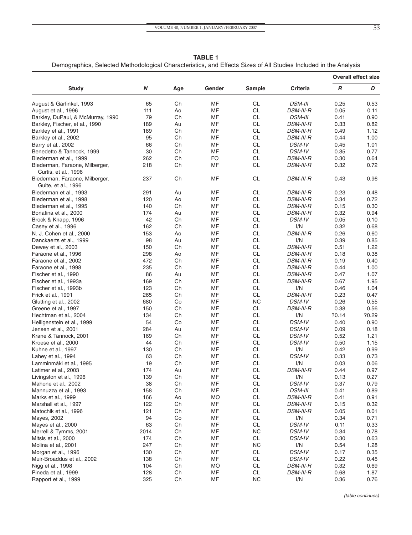## **TABLE 1**

Demographics, Selected Methodological Characteristics, and Effects Sizes of All Studies Included in the Analysis

|                                                        |      |     |        |            |                  | <b>Overall effect size</b> |       |
|--------------------------------------------------------|------|-----|--------|------------|------------------|----------------------------|-------|
| <b>Study</b>                                           | Ν    | Age | Gender | Sample     | <b>Criteria</b>  | $\boldsymbol{R}$           | D     |
| August & Garfinkel, 1993                               | 65   | Ch  | MF     | <b>CL</b>  | <b>DSM-III</b>   | 0.25                       | 0.53  |
| August et al., 1996                                    | 111  | Ao  | MF     | <b>CL</b>  | <b>DSM-III-R</b> | 0.05                       | 0.11  |
| Barkley, DuPaul, & McMurray, 1990                      | 79   | Ch  | MF     | CL         | <b>DSM-III</b>   | 0.41                       | 0.90  |
| Barkley, Fischer, et al., 1990                         | 189  | Au  | MF     | <b>CL</b>  | <b>DSM-III-R</b> | 0.33                       | 0.82  |
| Barkley et al., 1991                                   | 189  | Ch  | MF     | <b>CL</b>  | <b>DSM-III-R</b> | 0.49                       | 1.12  |
| Barkley et al., 2002                                   | 95   | Ch  | MF     | CL         | <b>DSM-III-R</b> | 0.44                       | 1.00  |
| Barry et al., 2002                                     | 66   | Ch  | MF     | <b>CL</b>  | <b>DSM-IV</b>    | 0.45                       | 1.01  |
| Benedetto & Tannock, 1999                              | 30   | Ch  | MF     | <b>CL</b>  | <b>DSM-IV</b>    | 0.35                       | 0.77  |
| Biederman et al., 1999                                 | 262  | Ch  | FO     | CL         | <b>DSM-III-R</b> | 0.30                       | 0.64  |
| Biederman, Faraone, Milberger,<br>Curtis, et al., 1996 | 218  | Ch  | MF     | CL         | <b>DSM-III-R</b> | 0.32                       | 0.72  |
| Biederman, Faraone, Milberger,<br>Guite, et al., 1996  | 237  | Ch  | MF     | <b>CL</b>  | <b>DSM-III-R</b> | 0.43                       | 0.96  |
| Biederman et al., 1993                                 | 291  | Au  | ΜF     | CL         | <b>DSM-III-R</b> | 0.23                       | 0.48  |
| Biederman et al., 1998                                 | 120  | Ao  | MF     | CL         | <b>DSM-III-R</b> | 0.34                       | 0.72  |
| Biederman et al., 1995                                 | 140  | Ch  | MF     | <b>CL</b>  | <b>DSM-III-R</b> | 0.15                       | 0.30  |
| Bonafina et al., 2000                                  | 174  | Au  | MF     | <b>CL</b>  | <b>DSM-III-R</b> | 0.32                       | 0.94  |
| Brock & Knapp, 1996                                    | 42   | Ch  | MF     | CL         | <b>DSM-IV</b>    | 0.05                       | 0.10  |
| Casey et al., 1996                                     | 162  | Ch  | MF     | CL         | I/N              | 0.32                       | 0.68  |
| N. J. Cohen et al., 2000                               | 153  | Ao  | MF     | <b>CL</b>  | <b>DSM-III-R</b> | 0.26                       | 0.60  |
|                                                        | 98   |     | MF     | CL         | I/N              | 0.39                       | 0.85  |
| Danckaerts et al., 1999                                |      | Au  |        | <b>CL</b>  | <b>DSM-III-R</b> |                            |       |
| Dewey et al., 2003                                     | 150  | Ch  | MF     |            |                  | 0.51                       | 1.22  |
| Faraone et al., 1996                                   | 298  | Ao  | MF     | <b>CL</b>  | <b>DSM-III-R</b> | 0.18                       | 0.38  |
| Faraone et al., 2002                                   | 472  | Ch  | MF     | CL         | <b>DSM-III-R</b> | 0.19                       | 0.40  |
| Faraone et al., 1998                                   | 235  | Ch  | MF     | CL         | <b>DSM-III-R</b> | 0.44                       | 1.00  |
| Fischer et al., 1990                                   | 86   | Au  | MF     | <b>CL</b>  | <b>DSM-III-R</b> | 0.47                       | 1.07  |
| Fischer et al., 1993a                                  | 169  | Ch  | MF     | CL         | <b>DSM-III-R</b> | 0.67                       | 1.95  |
| Fischer et al., 1993b                                  | 123  | Ch  | MF     | <b>CL</b>  | I/N              | 0.46                       | 1.04  |
| Frick et al., 1991                                     | 265  | Ch  | MF     | <b>CL</b>  | <b>DSM-III-R</b> | 0.23                       | 0.47  |
| Glutting et al., 2002                                  | 680  | Co  | MF     | <b>NC</b>  | <b>DSM-IV</b>    | 0.26                       | 0.55  |
| Greene et al., 1997                                    | 150  | Ch  | MF     | CL         | <b>DSM-III-R</b> | 0.38                       | 0.56  |
| Hechtman et al., 2004                                  | 134  | Ch  | MF     | <b>CL</b>  | I/N              | ?0.14                      | ?0.29 |
| Heiligenstein et al., 1999                             | 54   | Co  | MF     | CL         | <b>DSM-IV</b>    | 0.40                       | 0.90  |
| Jensen et al., 2001                                    | 284  | Au  | MF     | <b>CL</b>  | <b>DSM-IV</b>    | 0.09                       | 0.18  |
| Krane & Tannock, 2001                                  | 169  | Ch  | MF     | <b>CL</b>  | <b>DSM-IV</b>    | 0.52                       | 1.21  |
| Kroese et al., 2000                                    | 44   | Ch  | MF     | CL         | <b>DSM-IV</b>    | 0.50                       | 1.15  |
| Kuhne et al., 1997                                     | 130  | Ch  | MF     | CL         | I/N              | 0.42                       | 0.99  |
| Lahey et al., 1994                                     | 63   | Ch  | MF     | <b>CL</b>  | <b>DSM-IV</b>    | 0.33                       | 0.73  |
| Lamminmäki et al., 1995                                | 19   | Ch  | MF     | CL         | I/N              | 0.03                       | 0.06  |
| Latimer et al., 2003                                   | 174  | Au  | MF     | <b>CL</b>  | <b>DSM-III-R</b> | 0.44                       | 0.97  |
| Livingston et al., 1996                                | 139  | Ch  | MF     | <b>CL</b>  | I/N              | 0.13                       | 0.27  |
| Mahone et al., 2002                                    | 38   | Ch  | MF     | CL         | <b>DSM-IV</b>    | 0.37                       | 0.79  |
| Mannuzza et al., 1993                                  | 158  | Ch  | MF     | CL         | <b>DSM-III</b>   | 0.41                       | 0.89  |
| Marks et al., 1999                                     | 166  | Ao  | MO     | CL         | <i>DSM-III-R</i> | 0.41                       | 0.91  |
| Marshall et al., 1997                                  | 122  | Ch  | MF     | CL         | <b>DSM-III-R</b> | 0.15                       | 0.32  |
| Matochik et al., 1996                                  | 121  | Ch  | MF     | CL         | <i>DSM-III-R</i> | 0.05                       | 0.01  |
| Mayes, 2002                                            | 94   | Co  | ΜF     | CL         | I/N              | 0.34                       | 0.71  |
| Mayes et al., 2000                                     | 63   | Ch  | MF     | CL         | <b>DSM-IV</b>    | 0.11                       | 0.33  |
| Merrell & Tymms, 2001                                  | 2014 | Ch  | MF     | <b>NC</b>  | <b>DSM-IV</b>    | 0.34                       | 0.78  |
| Mitsis et al., 2000                                    | 174  | Ch  | MF     | CL         | <b>DSM-IV</b>    | 0.30                       | 0.63  |
| Molina et al., 2001                                    | 247  | Ch  | MF     | <b>NC</b>  | I/N              | 0.54                       | 1.28  |
| Morgan et al., 1996                                    | 130  | Ch  | MF     | CL         | <b>DSM-IV</b>    | 0.17                       | 0.35  |
| Muir-Broaddus et al., 2002                             | 138  | Ch  | MF     | CL         | <i>DSM-IV</i>    | 0.22                       | 0.45  |
| Nigg et al., 1998                                      | 104  | Ch  | MO     | CL         | <b>DSM-III-R</b> | 0.32                       | 0.69  |
| Pineda et al., 1999                                    | 128  | Ch  | MF     | CL         | <b>DSM-III-R</b> | 0.68                       | 1.87  |
| Rapport et al., 1999                                   | 325  | Ch  | MF     | ${\sf NC}$ | I/N              | 0.36                       | 0.76  |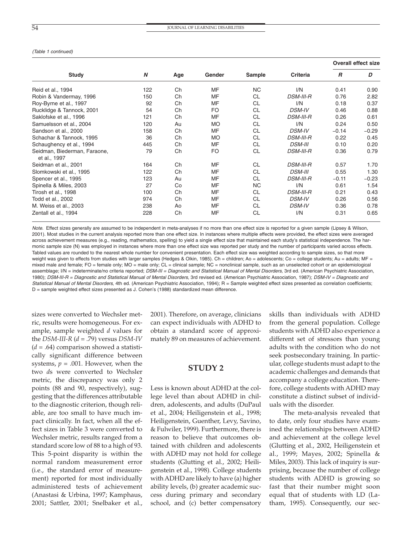#### (Table 1 continued)

|                                              |     |     |           |           |                  |                  | <b>Overall effect size</b> |
|----------------------------------------------|-----|-----|-----------|-----------|------------------|------------------|----------------------------|
| <b>Study</b>                                 | N   | Age | Gender    | Sample    | <b>Criteria</b>  | $\boldsymbol{R}$ | D                          |
| Reid et al., 1994                            | 122 | Ch  | <b>MF</b> | NC.       | I/N              | 0.41             | 0.90                       |
| Robin & Vandermay, 1996                      | 150 | Ch  | <b>MF</b> | <b>CL</b> | <b>DSM-III-R</b> | 0.76             | 2.82                       |
| Roy-Byrne et al., 1997                       | 92  | Ch  | <b>MF</b> | CL        | I/N              | 0.18             | 0.37                       |
| Rucklidge & Tannock, 2001                    | 54  | Ch  | FO        | <b>CL</b> | <b>DSM-IV</b>    | 0.46             | 0.88                       |
| Saklofske et al., 1996                       | 121 | Ch  | <b>MF</b> | <b>CL</b> | <b>DSM-III-R</b> | 0.26             | 0.61                       |
| Samuelsson et al., 2004                      | 120 | Au  | <b>MO</b> | CL        | I/N              | 0.24             | 0.50                       |
| Sandson et al., 2000                         | 158 | Ch  | <b>MF</b> | <b>CL</b> | <b>DSM-IV</b>    | $-0.14$          | $-0.29$                    |
| Schachar & Tannock, 1995                     | 36  | Ch  | <b>MO</b> | <b>CL</b> | <b>DSM-III-R</b> | 0.22             | 0.45                       |
| Schaughency et al., 1994                     | 445 | Ch  | <b>MF</b> | <b>CL</b> | <b>DSM-III</b>   | 0.10             | 0.20                       |
| Seidman, Biederman, Faraone,<br>et al., 1997 | 79  | Ch  | FO        | CL        | <b>DSM-III-R</b> | 0.36             | 0.79                       |
| Seidman et al., 2001                         | 164 | Ch  | MF        | CL.       | <b>DSM-III-R</b> | 0.57             | 1.70                       |
| Slomkowski et al., 1995                      | 122 | Ch  | <b>MF</b> | <b>CL</b> | <b>DSM-III</b>   | 0.55             | 1.30                       |
| Spencer et al., 1995                         | 123 | Au  | <b>MF</b> | <b>CL</b> | <b>DSM-III-R</b> | $-0.11$          | $-0.23$                    |
| Spinella & Miles, 2003                       | 27  | Co  | <b>MF</b> | <b>NC</b> | I/N              | 0.61             | 1.54                       |
| Tirosh et al., 1998                          | 100 | Ch  | <b>MF</b> | CL        | <b>DSM-III-R</b> | 0.21             | 0.43                       |
| Todd et al., 2002                            | 974 | Ch  | <b>MF</b> | CL        | <b>DSM-IV</b>    | 0.26             | 0.56                       |
| M. Weiss et al., 2003                        | 238 | Ao  | MF        | CL        | <b>DSM-IV</b>    | 0.36             | 0.78                       |
| Zentall et al., 1994                         | 228 | Ch  | <b>MF</b> | <b>CL</b> | I/N              | 0.31             | 0.65                       |

Note. Effect sizes generally are assumed to be independent in meta-analyses if no more than one effect size is reported for a given sample (Lipsey & Wilson, 2001). Most studies in the current analysis reported more than one effect size. In instances where multiple effects were provided, the effect sizes were averaged across achievement measures (e.g., reading, mathematics, spelling) to yield a single effect size that maintained each study's statistical independence. The harmonic sample size (N) was employed in instances where more than one effect size was reported per study and the number of participants varied across effects. Tabled values are rounded to the nearest whole number for convenient presentation. Each effect size was weighted according to sample sizes, so that more weight was given to effects from studies with larger samples (Hedges & Olkin, 1985). Ch = children; Ao = adolescents; Co = college students; Au = adults; MF = mixed male and female; FO = female only; MO = male only; CL = clinical sample; NC = nonclinical sample, such as an unselected cohort or an epidemiological assemblage; I/N = indeterminate/no criteria reported; DSM-III = Diagnostic and Statistical Manual of Mental Disorders, 3rd ed. (American Psychiatric Association, 1980); DSM-III-R = Diagnostic and Statistical Manual of Mental Disorders, 3rd revised ed. (American Psychiatric Association, 1987); DSM-IV = Diagnostic and Statistical Manual of Mental Disorders, 4th ed. (American Psychiatric Association, 1994); R = Sample weighted effect sizes presented as correlation coefficients; D = sample weighted effect sizes presented as J. Cohen's (1988) standardized mean difference.

sizes were converted to Wechsler metric, results were homogeneous. For example, sample weighted *d* values for the *DSM-III-R* (*d* = .79) versus *DSM-IV*  $(d = .64)$  comparison showed a statistically significant difference between systems,  $p = .001$ . However, when the two *d*s were converted to Wechsler metric, the discrepancy was only 2 points (88 and 90, respectively), suggesting that the differences attributable to the diagnostic criterion, though reliable, are too small to have much impact clinically. In fact, when all the effect sizes in Table 3 were converted to Wechsler metric, results ranged from a standard score low of 88 to a high of 93. This 5-point disparity is within the normal random measurement error (i.e., the standard error of measurement) reported for most individually administered tests of achievement (Anastasi & Urbina, 1997; Kamphaus, 2001; Sattler, 2001; Snelbaker et al.,

2001). Therefore, on average, clinicians can expect individuals with ADHD to obtain a standard score of approximately 89 on measures of achievement.

# **STUDY 2**

Less is known about ADHD at the college level than about ADHD in children, adolescents, and adults (DuPaul et al., 2004; Heiligenstein et al., 1998; Heiligenstein, Guenther, Levy, Savino, & Fulwiler, 1999). Furthermore, there is reason to believe that outcomes obtained with children and adolescents with ADHD may not hold for college students (Glutting et al., 2002; Heiligenstein et al., 1998). College students with ADHD are likely to have (a) higher ability levels, (b) greater academic success during primary and secondary school, and (c) better compensatory

skills than individuals with ADHD from the general population. College students with ADHD also experience a different set of stressors than young adults with the condition who do not seek postsecondary training. In particular, college students must adapt to the academic challenges and demands that accompany a college education. Therefore, college students with ADHD may constitute a distinct subset of individuals with the disorder.

The meta-analysis revealed that to date, only four studies have examined the relationships between ADHD and achievement at the college level (Glutting et al., 2002, Heiligenstein et al., 1999; Mayes, 2002; Spinella & Miles, 2003). This lack of inquiry is surprising, because the number of college students with ADHD is growing so fast that their number might soon equal that of students with LD (Latham, 1995). Consequently, our sec-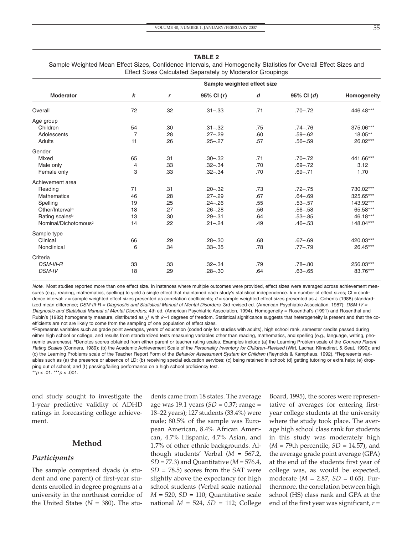#### **TABLE 2**

Sample Weighted Mean Effect Sizes, Confidence Intervals, and Homogeneity Statistics for Overall Effect Sizes and Effect Sizes Calculated Separately by Moderator Groupings

|                                  |                |              | Sample weighted effect size |     |              |             |  |
|----------------------------------|----------------|--------------|-----------------------------|-----|--------------|-------------|--|
| <b>Moderator</b>                 | k              | $\mathbf{r}$ | 95% CI (r)                  | d   | 95% Cl $(d)$ | Homogeneity |  |
| Overall                          | 72             | .32          | $.31 - .33$                 | .71 | $.70 - .72$  | 446.48***   |  |
| Age group                        |                |              |                             |     |              |             |  |
| Children                         | 54             | .30          | $.31 - .32$                 | .75 | $.74 - .76$  | 375.06***   |  |
| Adolescents                      | $\overline{7}$ | .28          | $.27 - .29$                 | .60 | $.59 - .62$  | 18.05**     |  |
| Adults                           | 11             | .26          | $.25 - .27$                 | .57 | $.56 - .59$  | 26.02***    |  |
| Gender                           |                |              |                             |     |              |             |  |
| Mixed                            | 65             | .31          | $.30 - .32$                 | .71 | $.70 - .72$  | 441.66***   |  |
| Male only                        | 4              | .33          | $.32 - .34$                 | .70 | $.69 - .72$  | 3.12        |  |
| Female only                      | 3              | .33          | $.32 - .34$                 | .70 | $.69 - .71$  | 1.70        |  |
| Achievement area                 |                |              |                             |     |              |             |  |
| Reading                          | 71             | .31          | $.20 - .32$                 | .73 | $.72 - .75$  | 730.02***   |  |
| <b>Mathematics</b>               | 46             | .28          | $.27 - .29$                 | .67 | $.64 - .69$  | 325.65***   |  |
| Spelling                         | 19             | .25          | $.24 - .26$                 | .55 | $.53 - .57$  | 143.92***   |  |
| Other/Interval <sup>a</sup>      | 18             | .27          | $.26 - .28$                 | .56 | $.56 - .58$  | 65.58***    |  |
| Rating scales <sup>b</sup>       | 13             | .30          | $.29 - .31$                 | .64 | $.53 - .85$  | 46.18***    |  |
| Nominal/Dichotomous <sup>c</sup> | 14             | .22          | $.21 - .24$                 | .49 | $.46 - .53$  | 148.04***   |  |
| Sample type                      |                |              |                             |     |              |             |  |
| Clinical                         | 66             | .29          | $.28 - .30$                 | .68 | $.67 - .69$  | 420.03***   |  |
| Nonclinical                      | 6              | .34          | $.33 - .35$                 | .78 | $.77 - .79$  | 26.45***    |  |
| Criteria                         |                |              |                             |     |              |             |  |
| <b>DSM-III-R</b>                 | 33             | .33          | $.32 - .34$                 | .79 | $.78 - .80$  | 256.03***   |  |
| <b>DSM-IV</b>                    | 18             | .29          | $.28 - .30$                 | .64 | $.63 - .65$  | 83.76***    |  |

Note. Most studies reported more than one effect size. In instances where multiple outcomes were provided, effect sizes were averaged across achievement measures (e.g., reading, mathematics, spelling) to yield a single effect that maintained each study's statistical independence.  $k =$  number of effect sizes; CI = confidence interval;  $r =$  sample weighted effect sizes presented as correlation coefficients;  $d =$  sample weighted effect sizes presented as J. Cohen's (1988) standardized mean difference; DSM-III-R = Diagnostic and Statistical Manual of Mental Disorders, 3rd revised ed. (American Psychiatric Association, 1987); DSM-IV = Diagnostic and Statistical Manual of Mental Disorders, 4th ed. (American Psychiatric Association, 1994). Homogeneity = Rosenthal's (1991) and Rosenthal and Rubin's (1982) homogeneity measure, distributed as  $\chi^2$  with  $k-1$  degrees of freedom. Statistical significance suggests that heterogeneity is present and that the coefficients are not are likely to come from the sampling of one population of effect sizes.

aRepresents variables such as grade point averages, years of education (coded only for studies with adults), high school rank, semester credits passed during either high school or college, and results from standardized tests measuring variables other than reading, mathematics, and spelling (e.g., language, writing, phonemic awareness). <sup>b</sup>Denotes scores obtained from either parent or teacher rating scales. Examples include (a) the Learning Problem scale of the Conners Parent Rating Scales (Conners, 1989); (b) the Academic Achievement Scale of the Personality Inventory for Children–Revised (Wirt, Lachar, Klinedinst, & Seat, 1990); and (c) the Learning Problems scale of the Teacher Report Form of the Behavior Assessment System for Children (Reynolds & Kamphaus, 1992). <sup>c</sup>Represents variables such as (a) the presence or absence of LD; (b) receiving special education services; (c) being retained in school; (d) getting tutoring or extra help; (e) dropping out of school; and (f) passing/failing performance on a high school proficiency test. \*\* $p < .01.$ \*\*\* $p < .001.$ 

ond study sought to investigate the 1-year predictive validity of ADHD ratings in forecasting college achievement.

## **Method**

## *Participants*

The sample comprised dyads (a student and one parent) of first-year students enrolled in degree programs at a university in the northeast corridor of the United States ( $N = 380$ ). The stu-

dents came from 18 states. The average age was 19.1 years (*SD* = 0.37; range = 18–22 years); 127 students (33.4%) were male; 80.5% of the sample was European American, 8.4% African American, 4.7% Hispanic, 4.7% Asian, and 1.7% of other ethnic backgrounds. Although students' Verbal (*M* = 567.2, *SD* = 77.3) and Quantitative (*M* = 576.4, *SD* = 78.5) scores from the SAT were slightly above the expectancy for high school students (Verbal scale national *M* = 520, *SD* = 110; Quantitative scale national  $M = 524$ ,  $SD = 112$ ; College Board, 1995), the scores were representative of averages for entering firstyear college students at the university where the study took place. The average high school class rank for students in this study was moderately high (*M* = 79th percentile, *SD* = 14.57), and the average grade point average (GPA) at the end of the students first year of college was, as would be expected, moderate (*M* = 2.87, *SD* = 0.65). Furthermore, the correlation between high school (HS) class rank and GPA at the end of the first year was significant, *r* =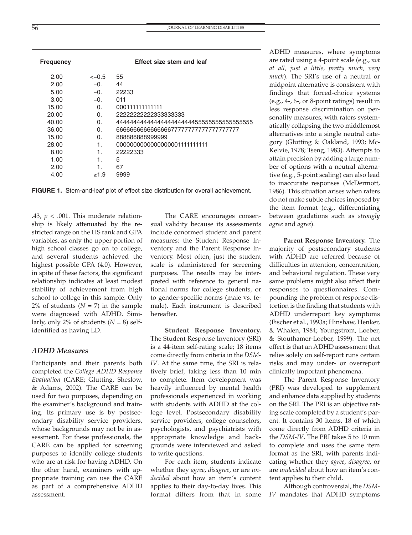| <b>Frequency</b> |                | <b>Effect size stem and leaf</b> |
|------------------|----------------|----------------------------------|
| 2.00             | $<-0.5$        | 55                               |
| 2.00             | $-0$ .         | 44                               |
| 5.00             | $-0.$          | 22233                            |
| 3.00             | $-0.$          | 011                              |
| 15.00            | $\Omega$ .     | 000111111111111                  |
| 20.00            | 0.             | 22222222222333333333             |
| 40.00            | $\Omega$ .     |                                  |
| 36.00            | 0.             |                                  |
| 15.00            | 0.             | 88888888999999                   |
| 28.00            | 1.             | 0000000000000000001111111111     |
| 8.00             | 1.             | 22222333                         |
| 1.00             | 1.             | 5                                |
| 2.00             | $\mathbf{1}$ . | 67                               |
| 4.00             | $\geq 1.9$     | 9999                             |
|                  |                |                                  |

**FIGURE 1.** Stem-and-leaf plot of effect size distribution for overall achievement.

.43, *p* < .001. This moderate relationship is likely attenuated by the restricted range on the HS rank and GPA variables, as only the upper portion of high school classes go on to college, and several students achieved the highest possible GPA (4.0). However, in spite of these factors, the significant relationship indicates at least modest stability of achievement from high school to college in this sample. Only  $2\%$  of students ( $N = 7$ ) in the sample were diagnosed with ADHD. Similarly, only 2% of students  $(N = 8)$  selfidentified as having LD.

## *ADHD Measures*

Participants and their parents both completed the *College ADHD Response Evaluation* (CARE; Glutting, Sheslow, & Adams, 2002). The CARE can be used for two purposes, depending on the examiner's background and training. Its primary use is by postsecondary disability service providers, whose backgrounds may not be in assessment. For these professionals, the CARE can be applied for screening purposes to identify college students who are at risk for having ADHD. On the other hand, examiners with appropriate training can use the CARE as part of a comprehensive ADHD assessment.

The CARE encourages consensual validity because its assessments include conormed student and parent measures: the Student Response Inventory and the Parent Response Inventory. Most often, just the student scale is administered for screening purposes. The results may be interpreted with reference to general national norms for college students, or to gender-specific norms (male vs. female). Each instrument is described hereafter.

**Student Response Inventory.** The Student Response Inventory (SRI) is a 44-item self-rating scale; 18 items come directly from criteria in the *DSM-IV*. At the same time, the SRI is relatively brief, taking less than 10 min to complete. Item development was heavily influenced by mental health professionals experienced in working with students with ADHD at the college level. Postsecondary disability service providers, college counselors, psychologists, and psychiatrists with appropriate knowledge and backgrounds were interviewed and asked to write questions.

For each item, students indicate whether they *agree*, *disagree*, or are *undecided* about how an item's content applies to their day-to-day lives. This format differs from that in some

ADHD measures, where symptoms are rated using a 4-point scale (e.g., *not at all*, *just a little*, *pretty much*, *very much*). The SRI's use of a neutral or midpoint alternative is consistent with findings that forced-choice systems (e.g., 4-, 6-, or 8-point ratings) result in less response discrimination on personality measures, with raters systematically collapsing the two middlemost alternatives into a single neutral category (Glutting & Oakland, 1993; Mc-Kelvie, 1978; Tseng, 1983). Attempts to attain precision by adding a large number of options with a neutral alternative (e.g., 5-point scaling) can also lead to inaccurate responses (McDermott, 1986). This situation arises when raters do not make subtle choices imposed by the item format (e.g., differentiating between gradations such as *strongly agree* and *agree*).

**Parent Response Inventory.** The majority of postsecondary students with ADHD are referred because of difficulties in attention, concentration, and behavioral regulation. These very same problems might also affect their responses to questionnaires. Compounding the problem of response distortion is the finding that students with ADHD underreport key symptoms (Fischer et al., 1993a; Hinshaw, Henker, & Whalen, 1984; Youngstrom, Loeber, & Stouthamer-Loeber, 1999). The net effect is that an ADHD assessment that relies solely on self-report runs certain risks and may under- or overreport clinically important phenomena.

The Parent Response Inventory (PRI) was developed to supplement and enhance data supplied by students on the SRI. The PRI is an objective rating scale completed by a student's parent. It contains 30 items, 18 of which come directly from ADHD criteria in the *DSM-IV*. The PRI takes 5 to 10 min to complete and uses the same item format as the SRI, with parents indicating whether they *agree*, *disagree*, or are *undecided* about how an item's content applies to their child.

Although controversial, the *DSM-IV* mandates that ADHD symptoms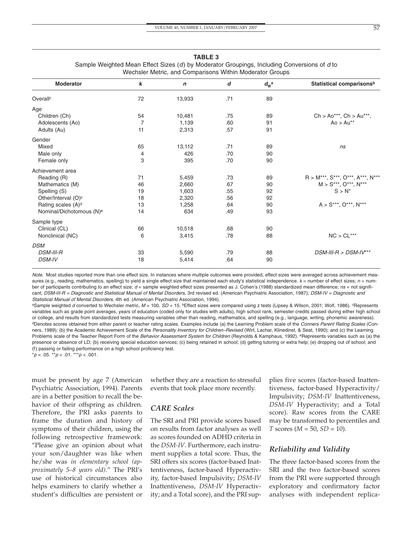| Wechsler Metric, and Comparisons Within Moderator Groups |                |              |     |             |                                      |
|----------------------------------------------------------|----------------|--------------|-----|-------------|--------------------------------------|
| <b>Moderator</b>                                         | k              | $\mathsf{n}$ | d   | $d_{W}^{a}$ | Statistical comparisons <sup>b</sup> |
| Overall <sup>c</sup>                                     | 72             | 13,933       | .71 | 89          |                                      |
| Age                                                      |                |              |     |             |                                      |
| Children (Ch)                                            | 54             | 10,481       | .75 | 89          | $Ch > Ao^{***}, Ch > Au^{***},$      |
| Adolescents (Ao)                                         | $\overline{7}$ | 1,139        | .60 | 91          | $A_0 > Au^{**}$                      |
| Adults (Au)                                              | 11             | 2,313        | .57 | 91          |                                      |
| Gender                                                   |                |              |     |             |                                      |
| Mixed                                                    | 65             | 13,112       | .71 | 89          | ns                                   |
| Male only                                                | 4              | 426          | .70 | 90          |                                      |
| Female only                                              | 3              | 395          | .70 | 90          |                                      |
| Achievement area                                         |                |              |     |             |                                      |
| Reading (R)                                              | 71             | 5,459        | .73 | 89          | R > M***, S***, O***, A***, N***     |
| Mathematics (M)                                          | 46             | 2,660        | .67 | 90          | $M > S^{***}, O^{***}, N^{***}$      |
| Spelling (S)                                             | 19             | 1,603        | .55 | 92          | $S > N^*$                            |
| Other/Interval (O) <sup>c</sup>                          | 18             | 2,320        | .56 | 92          |                                      |
| Rating scales (A) <sup>d</sup>                           | 13             | 1,258        | .64 | 90          | $A > S***$ , $O***$ , $N***$         |
| Nominal/Dichotomous (N) <sup>e</sup>                     | 14             | 634          | .49 | 93          |                                      |
| Sample type                                              |                |              |     |             |                                      |
| Clinical (CL)                                            | 66             | 10,518       | .68 | 90          |                                      |
| Nonclinical (NC)                                         | 6              | 3,415        | .78 | 88          | $\mathsf{NC}>\mathsf{CL^{***}}$      |
| <b>DSM</b>                                               |                |              |     |             |                                      |
| <b>DSM-III-R</b>                                         | 33             | 5,590        | .79 | 88          | $DSM-III-R > DSM-IV***$              |
| <b>DSM-IV</b>                                            | 18             | 5,414        | .64 | 90          |                                      |
|                                                          |                |              |     |             |                                      |

# **TABLE 3** Sample Weighted Mean Effect Sizes (d) by Moderator Groupings, Including Conversions of d to

Note. Most studies reported more than one effect size. In instances where multiple outcomes were provided, effect sizes were averaged across achievement measures (e.g., reading, mathematics, spelling) to yield a single effect size that maintained each study's statistical independence.  $k =$  number of effect sizes;  $n =$  number of participants contributing to an effect size;  $d =$  sample weighted effect sizes presented as J. Cohen's (1988) standardized mean difference;  $ns =$  not significant; DSM-III-R = Diagnostic and Statistical Manual of Mental Disorders, 3rd revised ed. (American Psychiatric Association, 1987); DSM-IV = Diagnostic and Statistical Manual of Mental Disorders, 4th ed. (American Psychiatric Association, 1994).

aSample weighted d converted to Wechsler metric, M = 100, SD = 15. bEffect sizes were compared using z tests (Lipsey & Wilson, 2001; Wolf, 1986). <sup>c</sup>Represents variables such as grade point averages, years of education (coded only for studies with adults), high school rank, semester credits passed during either high school or college, and results from standardized tests measuring variables other than reading, mathematics, and spelling (e.g., language, writing, phonemic awareness). dDenotes scores obtained from either parent or teacher rating scales. Examples include (a) the Learning Problem scale of the Conners Parent Rating Scales (Conners, 1989); (b) the Academic Achievement Scale of the Personality Inventory for Children–Revised (Wirt, Lachar, Klinedinst, & Seat, 1990); and (c) the Learning Problems scale of the Teacher Report Form of the Behavior Assessment System for Children (Reynolds & Kamphaus, 1992). <sup>e</sup>Represents variables such as (a) the presence or absence of LD; (b) receiving special education services; (c) being retained in school; (d) getting tutoring or extra help; (e) dropping out of school; and (f) passing or failing performance on a high school proficiency test.

 $*p < .05$ .  $*p < .01$ .  $**p < .001$ .

must be present by age 7 (American Psychiatric Association, 1994). Parents are in a better position to recall the behavior of their offspring as children. Therefore, the PRI asks parents to frame the duration and history of symptoms of their children, using the following retrospective framework: "Please give an opinion about what your son/daughter was like when he/she was *in elementary school (approximately 5–8 years old).*" The PRI's use of historical circumstances also helps examiners to clarify whether a student's difficulties are persistent or

whether they are a reaction to stressful events that took place more recently.

## *CARE Scales*

The SRI and PRI provide scores based on results from factor analyses as well as scores founded on ADHD criteria in the *DSM-IV*. Furthermore, each instrument supplies a total score. Thus, the SRI offers six scores (factor-based Inattentiveness, factor-based Hyperactivity, factor-based Impulsivity; *DSM-IV* Inattentiveness, *DSM-IV* Hyperactivity; and a Total score), and the PRI supplies five scores (factor-based Inattentiveness, factor-based Hyperactivity/ Impulsivity; *DSM-IV* Inattentiveness, *DSM-IV* Hyperactivity; and a Total score). Raw scores from the CARE may be transformed to percentiles and *T* scores (*M* = 50, *SD* = 10).

## *Reliability and Validity*

The three factor-based scores from the SRI and the two factor-based scores from the PRI were supported through exploratory and confirmatory factor analyses with independent replica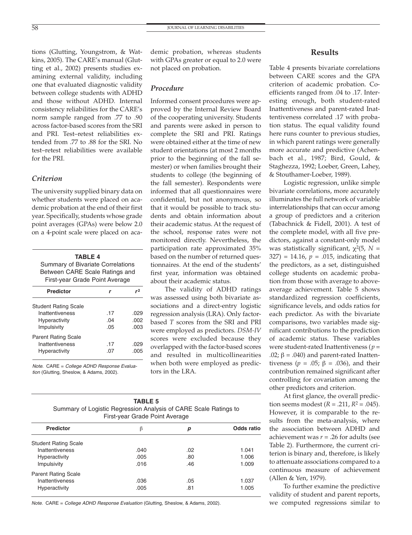tions (Glutting, Youngstrom, & Watkins, 2005). The CARE's manual (Glutting et al., 2002) presents studies examining external validity, including one that evaluated diagnostic validity between college students with ADHD and those without ADHD. Internal consistency reliabilities for the CARE's norm sample ranged from .77 to .90 across factor-based scores from the SRI and PRI. Test–retest reliabilities extended from .77 to .88 for the SRI. No test–retest reliabilities were available for the PRI.

## *Criterion*

The university supplied binary data on whether students were placed on academic probation at the end of their first year. Specifically, students whose grade point averages (GPAs) were below 2.0 on a 4-point scale were placed on aca-

#### **TABLE 4**

Summary of Bivariate Correlations Between CARE Scale Ratings and First-year Grade Point Average

| <b>Predictor</b>                               |            |              |
|------------------------------------------------|------------|--------------|
| <b>Student Rating Scale</b><br>Inattentiveness | .17        | .029         |
| Hyperactivity                                  | .04        | .002         |
| Impulsivity                                    | .05        | .003         |
| <b>Parent Rating Scale</b>                     |            |              |
| Inattentiveness<br>Hyperactivity               | .17<br>.07 | .029<br>.005 |

Note. CARE = College ADHD Response Evaluation (Glutting, Sheslow, & Adams, 2002).

demic probation, whereas students with GPAs greater or equal to 2.0 were not placed on probation.

## *Procedure*

Informed consent procedures were approved by the Internal Review Board of the cooperating university. Students and parents were asked in person to complete the SRI and PRI. Ratings were obtained either at the time of new student orientations (at most 2 months prior to the beginning of the fall semester) or when families brought their students to college (the beginning of the fall semester). Respondents were informed that all questionnaires were confidential, but not anonymous, so that it would be possible to track students and obtain information about their academic status. At the request of the school, response rates were not monitored directly. Nevertheless, the participation rate approximated 35% based on the number of returned questionnaires. At the end of the students' first year, information was obtained about their academic status.

The validity of ADHD ratings was assessed using both bivariate associations and a direct-entry logistic regression analysis (LRA). Only factorbased *T* scores from the SRI and PRI were employed as predictors. *DSM-IV* scores were excluded because they overlapped with the factor-based scores and resulted in multicollinearities when both were employed as predictors in the LRA.

| <b>TABLE 5</b>                                                   |  |  |  |  |  |
|------------------------------------------------------------------|--|--|--|--|--|
| Summary of Logistic Regression Analysis of CARE Scale Ratings to |  |  |  |  |  |
| First-year Grade Point Average                                   |  |  |  |  |  |

| <b>Predictor</b>            | β    | р   | Odds ratio |
|-----------------------------|------|-----|------------|
| <b>Student Rating Scale</b> |      |     |            |
| Inattentiveness             | .040 | .02 | 1.041      |
| Hyperactivity               | .005 | .80 | 1.006      |
| Impulsivity                 | .016 | .46 | 1.009      |
| <b>Parent Rating Scale</b>  |      |     |            |
| Inattentiveness             | .036 | .05 | 1.037      |
| Hyperactivity               | .005 | .81 | 1.005      |
|                             |      |     |            |

Note. CARE = College ADHD Response Evaluation (Glutting, Sheslow, & Adams, 2002).

# **Results**

Table 4 presents bivariate correlations between CARE scores and the GPA criterion of academic probation. Coefficients ranged from .04 to .17. Interesting enough, both student-rated Inattentiveness and parent-rated Inattentiveness correlated .17 with probation status. The equal validity found here runs counter to previous studies, in which parent ratings were generally more accurate and predictive (Achenbach et al., 1987; Bird, Gould, & Staghezza, 1992; Loeber, Green, Lahey, & Stouthamer-Loeber, 1989).

Logistic regression, unlike simple bivariate correlations, more accurately illuminates the full network of variable interrelationships that can occur among a group of predictors and a criterion (Tabachnick & Fidell, 2001). A test of the complete model, with all five predictors, against a constant-only model was statistically significant,  $\chi^2$ (5, N = 327) = 14.16, *p* = .015, indicating that the predictors, as a set, distinguished college students on academic probation from those with average to aboveaverage achievement. Table 5 shows standardized regression coefficients, significance levels, and odds ratios for each predictor. As with the bivariate comparisons, two variables made significant contributions to the prediction of academic status. These variables were student-rated Inattentiveness (*p* = .02;  $β = .040$ ) and parent-rated Inattentiveness ( $p = .05$ ;  $\beta = .036$ ), and their contribution remained significant after controlling for covariation among the other predictors and criterion.

At first glance, the overall prediction seems modest ( $R = .211$ ,  $R^2 = .045$ ). However, it is comparable to the results from the meta-analysis, where the association between ADHD and achievement was *r* = .26 for adults (see Table 2). Furthermore, the current criterion is binary and, therefore, is likely to attenuate associations compared to a continuous measure of achievement (Allen & Yen, 1979).

To further examine the predictive validity of student and parent reports, we computed regressions similar to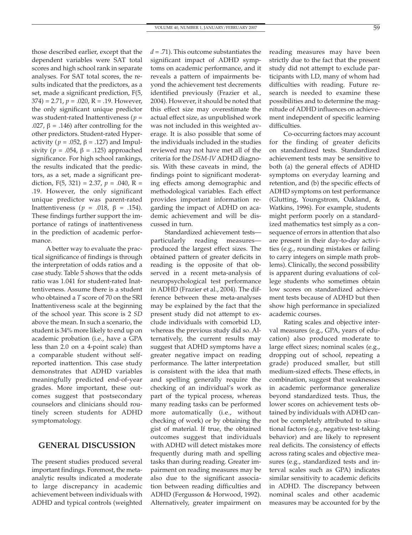those described earlier, except that the dependent variables were SAT total scores and high school rank in separate analyses. For SAT total scores, the results indicated that the predictors, as a set, made a significant prediction, F(5,  $374$ ) = 2.71,  $p = .020$ , R = .19. However, the only significant unique predictor was student-rated Inattentiveness (*p* = .027, β = .146) after controlling for the other predictors. Student-rated Hyperactivity ( $p = .052$ ,  $\beta = .127$ ) and Impulsivity ( $p = .054$ ,  $\beta = .125$ ) approached significance. For high school rankings, the results indicated that the predictors, as a set, made a significant prediction,  $F(5, 321) = 2.37$ ,  $p = .040$ ,  $R =$ .19. However, the only significant unique predictor was parent-rated Inattentiveness (*p* = .018, β = .154). These findings further support the importance of ratings of inattentiveness in the prediction of academic performance.

A better way to evaluate the practical significance of findings is through the interpretation of odds ratios and a case study. Table 5 shows that the odds ratio was 1.041 for student-rated Inattentiveness. Assume there is a student who obtained a *T* score of 70 on the SRI Inattentiveness scale at the beginning of the school year. This score is 2 *SD* above the mean. In such a scenario, the student is 34% more likely to end up on academic probation (i.e., have a GPA less than 2.0 on a 4-point scale) than a comparable student without selfreported inattention. This case study demonstrates that ADHD variables meaningfully predicted end-of-year grades. More important, these outcomes suggest that postsecondary counselors and clinicians should routinely screen students for ADHD symptomatology.

# **GENERAL DISCUSSION**

The present studies produced several important findings. Foremost, the metaanalytic results indicated a moderate to large discrepancy in academic achievement between individuals with ADHD and typical controls (weighted

*d* = .71). This outcome substantiates the significant impact of ADHD symptoms on academic performance, and it reveals a pattern of impairments beyond the achievement test decrements identified previously (Frazier et al., 2004). However, it should be noted that this effect size may overestimate the actual effect size, as unpublished work was not included in this weighted average. It is also possible that some of the individuals included in the studies reviewed may not have met all of the criteria for the *DSM-IV* ADHD diagnosis. With these caveats in mind, the findings point to significant moderating effects among demographic and methodological variables. Each effect provides important information regarding the impact of ADHD on academic achievement and will be discussed in turn.

Standardized achievement tests particularly reading measures produced the largest effect sizes. The obtained pattern of greater deficits in reading is the opposite of that observed in a recent meta-analysis of neuropsychological test performance in ADHD (Frazier et al., 2004). The difference between these meta-analyses may be explained by the fact that the present study did not attempt to exclude individuals with comorbid LD, whereas the previous study did so. Alternatively, the current results may suggest that ADHD symptoms have a greater negative impact on reading performance. The latter interpretation is consistent with the idea that math and spelling generally require the checking of an individual's work as part of the typical process, whereas many reading tasks can be performed more automatically (i.e., without checking of work) or by obtaining the gist of material. If true, the obtained outcomes suggest that individuals with ADHD will detect mistakes more frequently during math and spelling tasks than during reading. Greater impairment on reading measures may be also due to the significant association between reading difficulties and ADHD (Fergusson & Horwood, 1992). Alternatively, greater impairment on

reading measures may have been strictly due to the fact that the present study did not attempt to exclude participants with LD, many of whom had difficulties with reading. Future research is needed to examine these possibilities and to determine the magnitude of ADHD influences on achievement independent of specific learning difficulties.

Co-occurring factors may account for the finding of greater deficits on standardized tests. Standardized achievement tests may be sensitive to both (a) the general effects of ADHD symptoms on everyday learning and retention, and (b) the specific effects of ADHD symptoms on test performance (Glutting, Youngstrom, Oakland, & Watkins, 1996). For example, students might perform poorly on a standardized mathematics test simply as a consequence of errors in attention that also are present in their day-to-day activities (e.g., rounding mistakes or failing to carry integers on simple math problems). Clinically, the second possibility is apparent during evaluations of college students who sometimes obtain low scores on standardized achievement tests because of ADHD but then show high performance in specialized academic courses.

Rating scales and objective interval measures (e.g., GPA, years of education) also produced moderate to large effect sizes; nominal scales (e.g., dropping out of school, repeating a grade) produced smaller, but still medium-sized effects. These effects, in combination, suggest that weaknesses in academic performance generalize beyond standardized tests. Thus, the lower scores on achievement tests obtained by individuals with ADHD cannot be completely attributed to situational factors (e.g., negative test-taking behavior) and are likely to represent real deficits. The consistency of effects across rating scales and objective measures (e.g., standardized tests and interval scales such as GPA) indicates similar sensitivity to academic deficits in ADHD. The discrepancy between nominal scales and other academic measures may be accounted for by the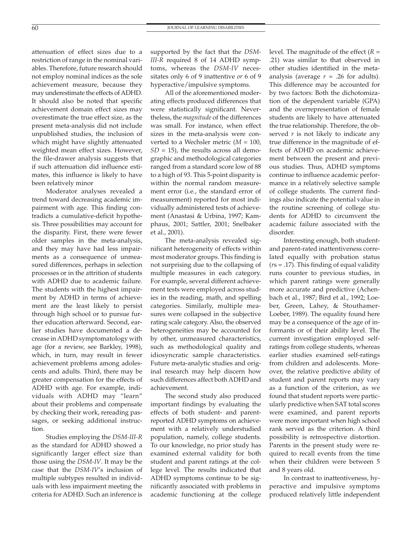attenuation of effect sizes due to a restriction of range in the nominal variables. Therefore, future research should not employ nominal indices as the sole achievement measure, because they may underestimate the effects of ADHD. It should also be noted that specific achievement domain effect sizes may overestimate the true effect size, as the present meta-analysis did not include unpublished studies, the inclusion of which might have slightly attenuated weighted mean effect sizes. However, the file-drawer analysis suggests that if such attenuation did influence estimates, this influence is likely to have been relatively minor

Moderator analyses revealed a trend toward decreasing academic impairment with age. This finding contradicts a cumulative-deficit hypothesis. Three possibilities may account for the disparity. First, there were fewer older samples in the meta-analysis, and they may have had less impairments as a consequence of unmeasured differences, perhaps in selection processes or in the attrition of students with ADHD due to academic failure. The students with the highest impairment by ADHD in terms of achievement are the least likely to persist through high school or to pursue further education afterward. Second, earlier studies have documented a decrease in ADHD symptomatology with age (for a review, see Barkley, 1998), which, in turn, may result in fewer achievement problems among adolescents and adults. Third, there may be greater compensation for the effects of ADHD with age. For example, individuals with ADHD may "learn" about their problems and compensate by checking their work, rereading passages, or seeking additional instruction.

Studies employing the *DSM-III-R* as the standard for ADHD showed a significantly larger effect size than those using the *DSM-IV*. It may be the case that the *DSM-IV*'s inclusion of multiple subtypes resulted in individuals with less impairment meeting the criteria for ADHD. Such an inference is supported by the fact that the *DSM-III-R* required 8 of 14 ADHD symptoms, whereas the *DSM-IV* necessitates only 6 of 9 inattentive *or* 6 of 9 hyperactive/impulsive symptoms.

All of the aforementioned moderating effects produced differences that were statistically significant. Nevertheless, the *magnitude* of the differences was small. For instance, when effect sizes in the meta-analysis were converted to a Wechsler metric (*M* = 100,  $SD = 15$ ), the results across all demographic and methodological categories ranged from a standard score low of 88 to a high of 93. This 5-point disparity is within the normal random measurement error (i.e., the standard error of measurement) reported for most individually administered tests of achievement (Anastasi & Urbina, 1997; Kamphaus, 2001; Sattler, 2001; Snelbaker et al., 2001).

The meta-analysis revealed significant heterogeneity of effects within most moderator groups. This finding is not surprising due to the collapsing of multiple measures in each category. For example, several different achievement tests were employed across studies in the reading, math, and spelling categories. Similarly, multiple measures were collapsed in the subjective rating scale category. Also, the observed heterogeneities may be accounted for by other, unmeasured characteristics, such as methodological quality and idiosyncratic sample characteristics. Future meta-analytic studies and original research may help discern how such differences affect both ADHD and achievement.

The second study also produced important findings by evaluating the effects of both student- and parentreported ADHD symptoms on achievement with a relatively understudied population, namely, college students. To our knowledge, no prior study has examined external validity for both student and parent ratings at the college level. The results indicated that ADHD symptoms continue to be significantly associated with problems in academic functioning at the college

level. The magnitude of the effect (*R* = .21) was similar to that observed in other studies identified in the metaanalysis (average  $r = .26$  for adults). This difference may be accounted for by two factors: Both the dichotomization of the dependent variable (GPA) and the overrepresentation of female students are likely to have attenuated the true relationship. Therefore, the observed *r* is not likely to indicate any true difference in the magnitude of effects of ADHD on academic achievement between the present and previous studies. Thus, ADHD symptoms continue to influence academic performance in a relatively selective sample of college students. The current findings also indicate the potential value in the routine screening of college students for ADHD to circumvent the academic failure associated with the disorder.

Interesting enough, both studentand parent-rated inattentiveness correlated equally with probation status (*r*s = .17). This finding of equal validity runs counter to previous studies, in which parent ratings were generally more accurate and predictive (Achenbach et al., 1987; Bird et al., 1992; Loeber, Green, Lahey, & Stouthamer-Loeber, 1989). The equality found here may be a consequence of the age of informants or of their ability level. The current investigation employed selfratings from college students, whereas earlier studies examined self-ratings from children and adolescents. Moreover, the relative predictive ability of student and parent reports may vary as a function of the criterion, as we found that student reports were particularly predictive when SAT total scores were examined, and parent reports were more important when high school rank served as the criterion. A third possibility is retrospective distortion. Parents in the present study were required to recall events from the time when their children were between 5 and 8 years old.

In contrast to inattentiveness, hyperactive and impulsive symptoms produced relatively little independent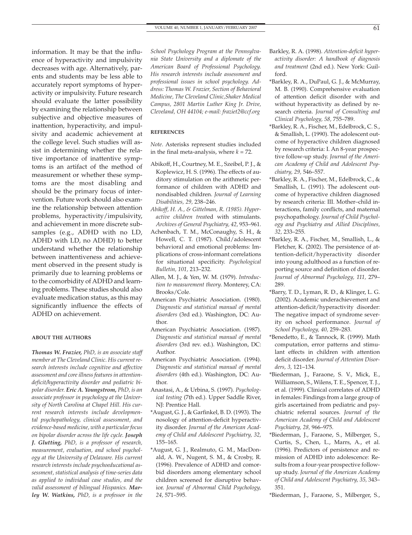information. It may be that the influence of hyperactivity and impulsivity decreases with age. Alternatively, parents and students may be less able to accurately report symptoms of hyperactivity or impulsivity. Future research should evaluate the latter possibility by examining the relationship between subjective and objective measures of inattention, hyperactivity, and impulsivity and academic achievement at the college level. Such studies will assist in determining whether the relative importance of inattentive symptoms is an artifact of the method of measurement or whether these symptoms are the most disabling and should be the primary focus of intervention. Future work should also examine the relationship between attention problems, hyperactivity/impulsivity, and achievement in more discrete subsamples (e.g., ADHD with no LD, ADHD with LD, no ADHD) to better understand whether the relationship between inattentiveness and achievement observed in the present study is primarily due to learning problems or to the comorbidity of ADHD and learning problems. These studies should also evaluate medication status, as this may significantly influence the effects of ADHD on achievement.

#### **ABOUT THE AUTHORS**

*Thomas W. Frazier, PhD, is an associate staff member at The Cleveland Clinic. His current research interests include cognitive and affective assessment and core illness features in attentiondeficit/hyperactivity disorder and pediatric bipolar disorder. Eric A. Youngstrom, PhD, is an associate professor in psychology at the University of North Carolina at Chapel Hill. His current research interests include developmental psychopathology, clinical assessment, and evidence-based medicine, with a particular focus on bipolar disorder across the life cycle. Joseph J. Glutting, PhD, is a professor of research, measurement, evaluation, and school psychology at the University of Delaware. His current research interests include psychoeducational assessment, statistical analysis of time-series data as applied to individual case studies, and the valid assessment of bilingual Hispanics. Marley W. Watkins, PhD, is a professor in the*

*School Psychology Program at the Pennsylvania State University and a diplomate of the American Board of Professional Psychology. His research interests include assessment and professional issues in school psychology. Address: Thomas W. Frazier, Section of Behavioral Medicine, The Cleveland Clinic,Shaker Medical Campus, 2801 Martin Luther King Jr. Drive, Cleveland, OH 44104; e-mail: fraziet2@ccf.org*

#### **REFERENCES**

*Note*. Asterisks represent studies included in the final meta-analysis, where  $k = 72$ .

- Abikoff, H., Courtney, M. E., Szeibel, P. J., & Koplewicz, H. S. (1996). The effects of auditory stimulation on the arithmetic performance of children with ADHD and nondisabled children. *Journal of Learning Disabilities, 29,* 238–246.
- *Abikoff, H. A., & Gittelman, R. (1985). Hyperactive children treat*ed with stimulants. *Archives of General Psychiatry, 42,* 953–961.
- Achenbach, T. M., McConaughy, S. H., & Howell, C. T. (1987). Child/adolescent behavioral and emotional problems: Implications of cross-informant correlations for situational specificity. *Psychological Bulletin, 101,* 213–232.
- Allen, M. J., & Yen, W. M. (1979). *Introduction to measurement theory.* Monterey, CA: Brooks/Cole.
- American Psychiatric Association. (1980). *Diagnostic and statistical manual of mental disorders* (3rd ed.). Washington, DC: Author.
- American Psychiatric Association. (1987). *Diagnostic and statistical manual of mental disorders* (3rd rev. ed.). Washington, DC: Author.
- American Psychiatric Association. (1994). *Diagnostic and statistical manual of mental disorders* (4th ed.). Washington, DC: Author.
- Anastasi, A., & Urbina, S. (1997). *Psychological testing* (7th ed.). Upper Saddle River, NJ: Prentice Hall.
- \*August, G. J., & Garfinkel, B. D. (1993). The nosology of attention-deficit hyperactivity disorder. *Journal of the American Academy of Child and Adolescent Psychiatry, 32,* 155–165.
- \*August, G. J., Realmuto, G. M., MacDonald, A. W., Nugent, S. M., & Crosby, R. (1996). Prevalence of ADHD and comorbid disorders among elementary school children screened for disruptive behavior. *Journal of Abnormal Child Psychology, 24,* 571–595.
- Barkley, R. A. (1998). *Attention-deficit hyperactivity disorder: A handbook of diagnosis and treatment* (2nd ed.). New York: Guilford.
- \*Barkley, R. A., DuPaul, G. J., & McMurray, M. B. (1990). Comprehensive evaluation of attention deficit disorder with and without hyperactivity as defined by research criteria. *Journal of Consulting and Clinical Psychology, 58,* 755–789.
- \*Barkley, R. A., Fischer, M., Edelbrock, C. S., & Smallish, L. (1990). The adolescent outcome of hyperactive children diagnosed by research criteria: I. An 8-year prospective follow-up study. *Journal of the American Academy of Child and Adolescent Psychiatry, 29,* 546–557.
- \*Barkley, R. A., Fischer, M., Edelbrock, C., & Smallish, L. (1991). The adolescent outcome of hyperactive children diagnosed by research criteria: III. Mother–child interactions, family conflicts, and maternal psychopathology. *Journal of Child Psychology and Psychiatry and Allied Disciplines, 32,* 233–255.
- \*Barkley, R. A., Fischer, M., Smallish, L., & Fletcher, K. (2002). The persistence of attention-deficit/hyperactivity disorder into young adulthood as a function of reporting source and definition of disorder. *Journal of Abnormal Psychology, 111,* 279– 289.
- \*Barry, T. D., Lyman, R. D., & Klinger, L. G. (2002). Academic underachievement and attention-deficit/hyperactivity disorder: The negative impact of syndrome severity on school performance. *Journal of School Psychology, 40,* 259–283.
- \*Benedetto, E., & Tannock, R. (1999). Math computation, error patterns and stimulant effects in children with attention deficit disorder. *Journal of Attention Disorders, 3,* 121–134.
- \*Biederman, J., Faraone, S. V., Mick, E., Williamson, S., Wilens, T. E., Spencer, T. J., et al. (1999). Clinical correlates of ADHD in females: Findings from a large group of girls ascertained from pediatric and psychiatric referral sources. *Journal of the American Academy of Child and Adolescent Psychiatry, 28,* 966–975.
- \*Biederman, J., Faraone, S., Milberger, S., Curtis, S., Chen, L., Marrs, A., et al. (1996). Predictors of persistence and remission of ADHD into adolescence: Results from a four-year prospective followup study. *Journal of the American Academy of Child and Adolescent Psychiatry, 35,* 343– 351.
- \*Biederman, J., Faraone, S., Milberger, S.,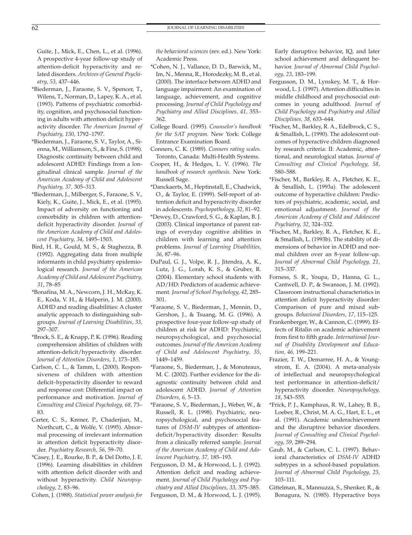Guite, J., Mick, E., Chen, L., et al. (1996). A prospective 4-year follow-up study of attention-deficit hyperactivity and related disorders. *Archives of General Psychiatry, 53,* 437–446.

- \*Biederman, J., Faraone, S. V., Spencer, T., Wilens, T., Norman, D., Lapey, K. A., et al. (1993). Patterns of psychiatric comorbidity, cognition, and psychosocial functioning in adults with attention deficit hyperactivity disorder. *The American Journal of Psychiatry, 150,* 1792–1797.
- \*Biederman, J., Faraone, S. V., Taylor, A., Sienna, M., Williamson, S., & Fine, S. (1998). Diagnostic continuity between child and adolescent ADHD: Findings from a longitudinal clinical sample. *Journal of the American Academy of Child and Adolescent Psychiatry, 37,* 305–313.
- \*Biederman, J., Milberger, S., Faraone, S. V., Kiely, K., Guite, J., Mick, E., et al. (1995). Impact of adversity on functioning and comorbidity in children with attentiondeficit hyperactivity disorder. *Journal of the American Academy of Child and Adolescent Psychiatry, 34,* 1495–1503.
- Bird, H. R., Gould, M. S., & Staghezza, B. (1992). Aggregating data from multiple informants in child psychiatry epidemiological research. *Journal of the American Academy of Child and Adolescent Psychiatry, 31*, 78–85
- \*Bonafina, M. A., Newcorn, J. H., McKay, K. E., Koda, V. H., & Halperin, J. M. (2000). ADHD and reading disabilities: A cluster analytic approach to distinguishing subgroups. *Journal of Learning Disabilities, 33,* 297–307.
- \*Brock, S. E., & Knapp, P. K. (1996). Reading comprehension abilities of children with attention-deficit/hyperactivity disorder. *Journal of Attention Disorders, 1,* 173–185.
- Carlson, C. L., & Tamm, L. (2000). Responsiveness of children with attention deficit–hyperactivity disorder to reward and response cost: Differential impact on performance and motivation. *Journal of Consulting and Clinical Psychology, 68,* 73– 83.
- Carter, C. S., Krener, P., Chaderjian, M., Northcutt, C., & Wolfe, V. (1995). Abnormal processing of irrelevant information in attention deficit hyperactivity disorder. *Psychiatry Research, 56,* 59–70.
- \*Casey, J. E., Rourke, B. P., & Del Dotto, J. E. (1996). Learning disabilities in children with attention deficit disorder with and without hyperactivity. *Child Neuropsychology, 2,* 83–96.
- Cohen, J. (1988). *Statistical power analysis for*

*the behavioral sciences* (rev. ed.). New York: Academic Press.

- \*Cohen, N. J., Vallance, D. D., Barwick, M., Im, N., Menna, R., Horodezky, M. B., et al. (2000). The interface between ADHD and language impairment: An examination of language, achievement, and cognitive processing. *Journal of Child Psychology and Psychiatry and Allied Disciplines, 41,* 353– 362.
- College Board. (1995). *Counselor's handbook for the SAT program.* New York: College Entrance Examination Board.
- Conners, C. K. (1989). *Conners rating scales.* Toronto, Canada: Multi-Health Systems.
- Cooper, H., & Hedges, L. V. (1996). *The handbook of research synthesis.* New York: Russell Sage.
- \*Danckaerts, M., Heptinstall, E., Chadwick, O., & Taylor, E. (1999). Self-report of attention deficit and hyperactivity disorder in adolescents. *Psychopathology, 32,* 81–92.
- \*Dewey, D., Crawford, S. G., & Kaplan, B. J. (2003). Clinical importance of parent ratings of everyday cognitive abilities in children with learning and attention problems. *Journal of Learning Disabilities, 36,* 87–96.
- DuPaul, G. J., Volpe, R. J., Jitendra, A. K., Lutz, J. G., Lorah, K. S., & Gruber, R. (2004). Elementary school students with AD/HD: Predictors of academic achievement. *Journal of School Psychology, 42,* 285– 301.
- \*Faraone, S. V., Biederman, J., Mennin, D., Gershon, J., & Tsuang, M. G. (1996). A prospective four-year follow-up study of children at risk for ADHD: Psychiatric, neuropsychological, and psychosocial outcomes. *Journal of the American Academy of Child and Adolescent Psychiatry, 35,* 1449–1459.
- \*Faraone, S., Biederman, J., & Monuteaux, M. C. (2002). Further evidence for the diagnostic continuity between child and adolescent ADHD. *Journal of Attention Disorders, 6,* 5–13.
- \*Faraone, S. V., Biederman, J., Weber, W., & Russell, R. L. (1998). Psychiatric, neuropsychological, and psychosocial features of *DSM-IV* subtypes of attentiondeficit/hyperactivity disorder: Results from a clinically referred sample. *Journal of the American Academy of Child and Adolescent Psychiatry, 37,* 185–193.
- Fergusson, D. M., & Horwood, L. J. (1992). Attention deficit and reading achievement. *Journal of Child Psychology and Psychiatry and Allied Disciplines, 33,* 375–385. Fergusson, D. M., & Horwood, L. J. (1995).

Early disruptive behavior, IQ, and later school achievement and delinquent behavior. *Journal of Abnormal Child Psychology, 23,* 183–199.

- Fergusson, D. M., Lynskey, M. T., & Horwood, L. J. (1997). Attention difficulties in middle childhood and psychosocial outcomes in young adulthood. *Journal of Child Psychology and Psychiatry and Allied Disciplines, 38,* 633–644.
- \*Fischer, M., Barkley, R. A., Edelbrock, C. S., & Smallish, L. (1990). The adolescent outcomes of hyperactive children diagnosed by research criteria: II: Academic, attentional, and neurological status. *Journal of Consulting and Clinical Psychology, 58,* 580–588.
- \*Fischer, M., Barkley, R. A., Fletcher, K. E., & Smallish, L. (1993a). The adolescent outcome of hyperactive children: Predictors of psychiatric, academic, social, and emotional adjustment. *Journal of the American Academy of Child and Adolescent Psychiatry, 32,* 324–332.
- \*Fischer, M., Barkley, R. A., Fletcher, K. E., & Smallish, L. (1993b). The stability of dimensions of behavior in ADHD and normal children over an 8-year follow-up. *Journal of Abnormal Child Psychology, 21,* 315–337.
- Forness, S. R., Youpa, D., Hanna, G. L., Cantwell, D. P., & Swanson, J. M. (1992). Classroom instructional characteristics in attention deficit hyperactivity disorder: Comparison of pure and mixed subgroups. *Behavioral Disorders, 17,* 115–125.
- Frankenberger, W., & Cannon, C. (1999). Effects of Ritalin on academic achievement from first to fifth grade. *International Journal of Disability Development and Education, 46,* 199–221.
- Frazier, T. W., Demarree, H. A., & Youngstrom, E. A. (2004). A meta-analysis of intellectual and neuropsychological test performance in attention-deficit/ hyperactivity disorder. *Neuropsychology, 18*, 543–555.
- \*Frick, P. J., Kamphaus, R. W., Lahey, B. B., Loeber, R., Christ, M. A. G., Hart, E. L., et al. (1991). Academic underachievement and the disruptive behavior disorders. *Journal of Consulting and Clinical Psychology, 59,* 289–294.
- Gaub, M., & Carlson, C. L. (1997). Behavioral characteristics of *DSM-IV* ADHD subtypes in a school-based population. *Journal of Abnormal Child Psychology, 25,* 103–111.
- Gittelman, R., Mannuzza, S., Shenker, R., & Bonagura, N. (1985). Hyperactive boys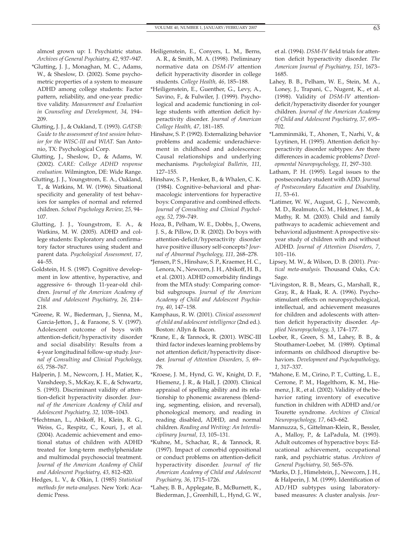almost grown up: I. Psychiatric status. *Archives of General Psychiatry, 42,* 937–947.

- \*Glutting, J. J., Monaghan, M. C., Adams, W., & Sheslow, D. (2002). Some psychometric properties of a system to measure ADHD among college students: Factor pattern, reliability, and one-year predictive validity. *Measurement and Evaluation in Counseling and Development, 34,* 194– 209.
- Glutting, J. J., & Oakland, T. (1993). *GATSB: Guide to the assessment of test session behavior for the WISC-III and WIAT.* San Antonio, TX: Psychological Corp.
- Glutting, J., Sheslow, D., & Adams, W. (2002). *CARE: College ADHD response evaluation.* Wilmington, DE: Wide Range.
- Glutting, J. J., Youngstrom, E. A., Oakland, T., & Watkins, M. W. (1996). Situational specificity and generality of test behaviors for samples of normal and referred children. *School Psychology Review, 25,* 94– 107.
- Glutting, J. J., Youngstrom, E. A., & Watkins, M. W. (2005). ADHD and college students: Exploratory and confirmatory factor structures using student and parent data. *Psychological Assessment, 17,* 44–55.
- Goldstein, H. S. (1987). Cognitive development in low attentive, hyperactive, and aggressive 6- through 11-year-old children. *Journal of the American Academy of Child and Adolescent Psychiatry, 26,* 214– 218.
- \*Greene, R. W., Biederman, J., Sienna, M., Garcia-Jetton, J., & Faraone, S. V. (1997). Adolescent outcome of boys with attention-deficit/hyperactivity disorder and social disability: Results from a 4-year longitudinal follow-up study. *Journal of Consulting and Clinical Psychology, 65,* 758–767.
- Halperin, J. M., Newcorn, J. H., Matier, K., Vanshdeep, S., McKay, K. E., & Schwartz, S. (1993). Discriminant validity of attention-deficit hyperactivity disorder. *Journal of the American Academy of Child and Adolescent Psychiatry, 32,* 1038–1043.
- \*Hechtman, L., Abikoff, H., Klein, R. G., Weiss, G., Respitz, C., Kouri, J., et al. (2004). Academic achievement and emotional status of children with ADHD treated for long-term methylphenidate and multimodal psychosocial treatment. *Journal of the American Academy of Child and Adolescent Psychiatry, 43,* 812–820.
- Hedges, L. V., & Olkin, I. (1985) *Statistical methods for meta-analyses.* New York: Academic Press.
- Heiligenstein, E., Conyers, L. M., Berns, A. R., & Smith, M. A. (1998). Preliminary normative data on *DSM-IV* attention deficit hyperactivity disorder in college students. *College Health, 46,* 185–188.
- \*Heiligenstein, E., Guenther, G., Levy, A., Savino, F., & Fulwiler, J. (1999). Psychological and academic functioning in college students with attention deficit hyperactivity disorder. *Journal of American College Health, 47,* 181–185.
- Hinshaw, S. P. (1992). Externalizing behavior problems and academic underachievement in childhood and adolescence: Causal relationships and underlying mechanisms. *Psychological Bulletin, 111,* 127–155.
- Hinshaw, S. P., Henker, B., & Whalen, C. K. (1984). Cognitive–behavioral and pharmacologic interventions for hyperactive boys: Comparative and combined effects. *Journal of Consulting and Clinical Psychology, 52,* 739–749.
- Hoza, B., Pelham, W. E., Dobbs, J., Owens, J. S., & Pillow, D. R. (2002). Do boys with attention-deficit/hyperactivity disorder have positive illusory self-concepts? *Journal of Abnormal Psychology, 111,* 268–278.
- \*Jensen, P. S., Hinshaw, S. P., Kraemer, H. C., Lenora, N., Newcorn, J. H., Abikoff, H. B., et al. (2001). ADHD comorbidity findings from the MTA study: Comparing comorbid subgroups. *Journal of the American Academy of Child and Adolescent Psychiatry, 40,* 147–158.
- Kamphaus, R. W. (2001). *Clinical assessment of child and adolescent intelligence* (2nd ed.). Boston: Allyn & Bacon.
- \*Krane, E., & Tannock, R. (2001). WISC-III third factor indexes learning problems by not attention deficit/hyperactivity disorder. *Journal of Attention Disorders, 5,* 69– 78.
- \*Kroese, J. M., Hynd, G. W., Knight, D. F., Hiemenz, J. R., & Hall, J. (2000). Clinical appraisal of spelling ability and its relationship to phonemic awareness (blending, segmenting, elision, and reversal), phonological memory, and reading in reading disabled, ADHD, and normal children. *Reading and Writing: An Interdisciplinary Journal, 13,* 105–131.
- \*Kuhne, M., Schachar, R., & Tannock, R. (1997). Impact of comorbid oppositional or conduct problems on attention-deficit hyperactivity disorder. *Journal of the American Academy of Child and Adolescent Psychiatry, 36,* 1715–1726.
- \*Lahey, B. B., Applegate, B., McBurnett, K., Biederman, J., Greenhill, L., Hynd, G. W.,

et al. (1994). *DSM-IV* field trials for attention deficit hyperactivity disorder. *The American Journal of Psychiatry, 151,* 1673– 1685.

- Lahey, B. B., Pelham, W. E., Stein, M. A., Loney, J., Trapani, C., Nugent, K., et al. (1998). Validity of *DSM-IV* attentiondeficit/hyperactivity disorder for younger children. *Journal of the American Academy of Child and Adolescent Psychiatry, 37,* 695– 702.
- \*Lamminmäki, T., Ahonen, T., Narhi, V., & Lyytinen, H. (1995). Attention deficit hyperactivity disorder subtypes: Are there differences in academic problems? *Developmental Neuropsychology, 11,* 297–310.
- Latham, P. H. (1995). Legal issues to the postsecondary student with ADD. *Journal of Postsecondary Education and Disability, 11,* 53–61.
- \*Latimer, W. W., August, G. J., Newcomb, M. D., Realmuto, G. M., Hektner, J. M., & Mathy, R. M. (2003). Child and family pathways to academic achievement and behavioral adjustment: A prospective sixyear study of children with and without ADHD. *Journal of Attention Disorders, 7,* 101–116.
- Lipsey, M. W., & Wilson, D. B. (2001). *Practical meta-analysis.* Thousand Oaks, CA: Sage.
- \*Livingston, R. B., Mears, G., Marshall, R., Gray, R., & Haak, R. A. (1996). Psychostimulant effects on neuropsychological, intellectual, and achievement measures for children and adolescents with attention deficit hyperactivity disorder. *Applied Neuropsychology, 3,* 174–177.
- Loeber, R., Green, S. M., Lahey, B. B., & Stouthamer-Loeber, M. (1989). Optimal informants on childhood disruptive behaviors. *Development and Psychopathology, 1,* 317–337.
- \*Mahone, E. M., Cirino, P. T., Cutting, L. E., Cerrone, P. M., Hagelthorn, K. M., Hiemenz, J. R., et al. (2002). Validity of the behavior rating inventory of executive function in children with ADHD and/or Tourette syndrome. *Archives of Clinical Neuropsychology, 17,* 643–662.
- Mannuzza, S., Gittelman-Klein, R., Bessler, A., Malloy, P., & LaPadula, M. (1993). Adult outcomes of hyperactive boys: Educational achievement, occupational rank, and psychiatric status. *Archives of General Psychiatry, 50,* 565–576.
- \*Marks, D. J., Himelstein, J., Newcorn, J. H., & Halperin, J. M. (1999). Identification of AD/HD subtypes using laboratorybased measures: A cluster analysis. *Jour-*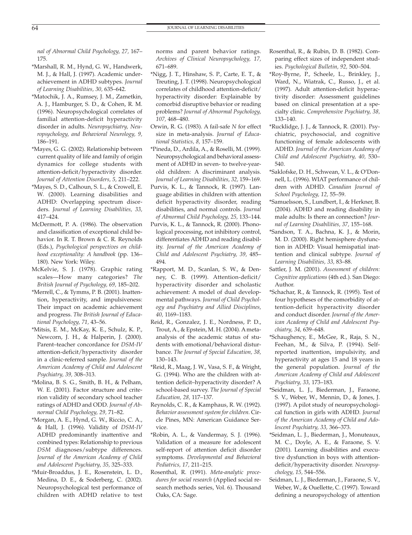*nal of Abnormal Child Psychology, 27,* 167– 175.

- \*Marshall, R. M., Hynd, G. W., Handwerk, M. J., & Hall, J. (1997). Academic underachievement in ADHD subtypes. *Journal of Learning Disabilities, 30,* 635–642.
- \*Matochik, J. A., Rumsey, J. M., Zametkin, A. J., Hamburger, S. D., & Cohen, R. M. (1996). Neuropsychological correlates of familial attention-deficit hyperactivity disorder in adults. *Neuropsychiatry, Neuropsychology, and Behavioral Neurology, 9,* 186–191.
- \*Mayes, G. G. (2002). Relationship between current quality of life and family of origin dynamics for college students with attention-deficit/hyperactivity disorder. *Journal of Attention Disorders, 5,* 211–222.
- \*Mayes, S. D., Calhoun, S. L., & Crowell, E. W. (2000). Learning disabilities and ADHD: Overlapping spectrum disorders. *Journal of Learning Disabilities, 33,* 417–424.
- McDermott, P. A. (1986). The observation and classification of exceptional child behavior. In R. T. Brown & C. R. Reynolds (Eds.), *Psychological perspectives on childhood exceptionality: A handbook* (pp. 136– 180). New York: Wiley.
- McKelvie, S. J. (1978). Graphic rating scales—How many categories? *The British Journal of Psychology, 69,* 185–202.
- \*Merrell, C., & Tymms, P. B. (2001). Inattention, hyperactivity, and impulsiveness: Their impact on academic achievement and progress. *The British Journal of Educational Psychology, 71,* 43–56.
- \*Mitsis, E. M., McKay, K. E., Schulz, K. P., Newcorn, J. H., & Halperin, J. (2000). Parent–teacher concordance for *DSM-IV* attention-deficit/hyperactivity disorder in a clinic-referred sample. *Journal of the American Academy of Child and Adolescent Psychiatry, 39,* 308–313.
- \*Molina, B. S. G., Smith, B. H., & Pelham, W. E. (2001). Factor structure and criterion validity of secondary school teacher ratings of ADHD and ODD. *Journal of Abnormal Child Psychology, 29,* 71–82.
- \*Morgan, A. E., Hynd, G. W., Riccio, C. A., & Hall, J. (1996). Validity of *DSM-IV* ADHD predominantly inattentive and combined types: Relationship to previous *DSM* diagnoses/subtype differences. *Journal of the American Academy of Child and Adolescent Psychiatry, 35,* 325–333.
- \*Muir-Broaddus, J. E., Rosenstein, L. D., Medina, D. E., & Soderberg, C. (2002). Neuropsychological test performance of children with ADHD relative to test

norms and parent behavior ratings. *Archives of Clinical Neuropsychology, 17,* 671–689.

- \*Nigg, J. T., Hinshaw, S. P., Carte, E. T., & Treuting, J. T. (1998). Neuropsychological correlates of childhood attention-deficit/ hyperactivity disorder: Explainable by comorbid disruptive behavior or reading problems? *Journal of Abnormal Psychology, 107,* 468–480.
- Orwin, R. G. (1983). A fail-safe *N* for effect size in meta-analysis. *Journal of Educational Statistics, 8,* 157–159.
- \*Pineda, D., Ardila, A., & Roselli, M. (1999). Neuropsychological and behavioral assessment of ADHD in seven- to twelve-yearold children: A discriminant analysis. *Journal of Learning Disabilities, 32,* 159–169.
- Purvis, K. L., & Tannock, R. (1997). Language abilities in children with attention deficit hyperactivity disorder, reading disabilities, and normal controls. *Journal of Abnormal Child Psychology, 25,* 133–144.
- Purvis, K. L., & Tannock, R. (2000). Phonological processing, not inhibitory control, differentiates ADHD and reading disability. *Journal of the American Academy of Child and Adolescent Psychiatry, 39,* 485– 494.
- \*Rapport, M. D., Scanlan, S. W., & Denney, C. B. (1999). Attention-deficit/ hyperactivity disorder and scholastic achievement: A model of dual developmental pathways. *Journal of Child Psychology and Psychiatry and Allied Disciplines, 40,* 1169–1183.
- Reid, R., Gonzalez, J. E., Nordness, P. D., Trout, A., & Epstein, M. H. (2004). A metaanalysis of the academic status of students with emotional/behavioral disturbance. *The Journal of Special Education, 38,* 130–143.
- \*Reid, R., Maag, J. W., Vasa, S. F., & Wright, G. (1994). Who are the children with attention deficit–hyperactivity disorder? A school-based survey. *The Journal of Special Education, 28,* 117–137.
- Reynolds, C. R., & Kamphaus, R. W. (1992). *Behavior assessment system for children.* Circle Pines, MN: American Guidance Service.
- \*Robin, A. L., & Vandermay, S. J. (1996). Validation of a measure for adolescent self-report of attention deficit disorder symptoms. *Developmental and Behavioral Pediatrics, 17,* 211–215.
- Rosenthal, R. (1991). *Meta-analytic procedures for social research* (Applied social research methods series, Vol. 6). Thousand Oaks, CA: Sage.
- Rosenthal, R., & Rubin, D. B. (1982). Comparing effect sizes of independent studies. *Psychological Bulletin, 92,* 500–504.
- \*Roy-Byrne, P., Scheele, L., Brinkley, J., Ward, N., Wiatrak, C., Russo, J., et al. (1997). Adult attention-deficit hyperactivity disorder: Assessment guidelines based on clinical presentation at a specialty clinic. *Comprehensive Psychiatry, 38,* 133–140.
- \*Rucklidge, J. J., & Tannock, R. (2001). Psychiatric, psychosocial, and cognitive functioning of female adolescents with ADHD. *Journal of the American Academy of Child and Adolescent Psychiatry, 40,* 530– 540.
- \*Saklofske, D. H., Schwean, V. L., & O'Donnell, L. (1996). WIAT performance of children with ADHD. *Canadian Journal of School Psychology, 12,* 55–59.
- \*Samuelsson, S., Lundbert, I., & Herkner, B. (2004). ADHD and reading disability in male adults: Is there an connection? *Journal of Learning Disabilities, 37,* 155–168.
- \*Sandson, T. A., Bachna, K. J., & Morin, M. D. (2000). Right hemisphere dysfunction in ADHD: Visual hemispatial inattention and clinical subtype. *Journal of Learning Disabilities, 33,* 83–88.
- Sattler, J. M. (2001). *Assessment of children: Cognitive applications* (4th ed.). San Diego: Author.
- \*Schachar, R., & Tannock, R. (1995). Test of four hypotheses of the comorbidity of attention-deficit hyperactivity disorder and conduct disorder. *Journal of the American Academy of Child and Adolescent Psychiatry, 34,* 639–648.
- \*Schaughency, E., McGee, R., Raja, S. N., Feehan, M., & Silva, P. (1994). Selfreported inattention, impulsivity, and hyperactivity at ages 15 and 18 years in the general population. *Journal of the American Academy of Child and Adolescent Psychiatry, 33,* 173–183.
- \*Seidman, L. J., Biederman, J., Faraone, S. V., Weber, W., Mennin, D., & Jones, J. (1997). A pilot study of neuropsychological function in girls with ADHD. *Journal of the American Academy of Child and Adolescent Psychiatry, 33,* 366–373.
- \*Seidman, L. J., Biederman, J., Monuteaux, M. C., Doyle, A. E., & Faraone, S. V. (2001). Learning disabilities and executive dysfunction in boys with attentiondeficit/hyperactivity disorder. *Neuropsychology, 15,* 544–556.
- Seidman, L. J., Biederman, J., Faraone, S. V., Weber, W., & Ouellette, C. (1997). Toward defining a neuropsychology of attention